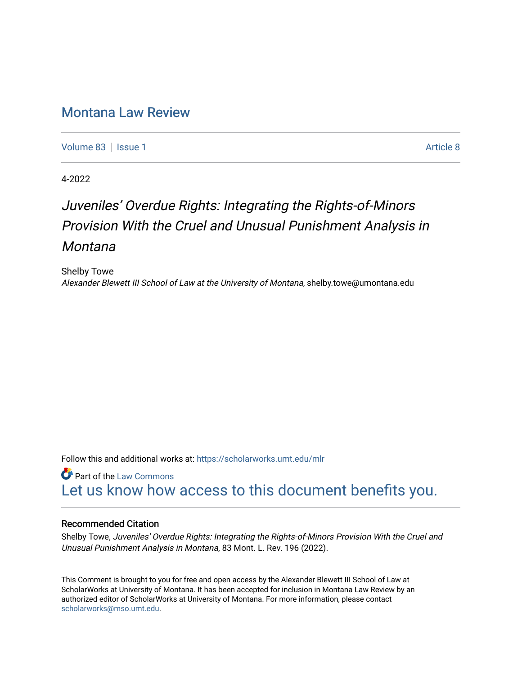## [Montana Law Review](https://scholarworks.umt.edu/mlr)

[Volume 83](https://scholarworks.umt.edu/mlr/vol83) | [Issue 1](https://scholarworks.umt.edu/mlr/vol83/iss1) [Article 8](https://scholarworks.umt.edu/mlr/vol83/iss1/8) | Article 8 | Article 8 | Article 8 | Article 8 | Article 8 | Article 8 | Article 8 | Article 8 | Article 8 | Article 8 | Article 8 | Article 8 | Article 8 | Article 8 | Article 8 | Article 8

4-2022

# Juveniles' Overdue Rights: Integrating the Rights-of-Minors Provision With the Cruel and Unusual Punishment Analysis in Montana

Shelby Towe Alexander Blewett III School of Law at the University of Montana, shelby.towe@umontana.edu

Follow this and additional works at: [https://scholarworks.umt.edu/mlr](https://scholarworks.umt.edu/mlr?utm_source=scholarworks.umt.edu%2Fmlr%2Fvol83%2Fiss1%2F8&utm_medium=PDF&utm_campaign=PDFCoverPages) 

**Part of the [Law Commons](http://network.bepress.com/hgg/discipline/578?utm_source=scholarworks.umt.edu%2Fmlr%2Fvol83%2Fiss1%2F8&utm_medium=PDF&utm_campaign=PDFCoverPages)** [Let us know how access to this document benefits you.](https://goo.gl/forms/s2rGfXOLzz71qgsB2) 

#### Recommended Citation

Shelby Towe, Juveniles' Overdue Rights: Integrating the Rights-of-Minors Provision With the Cruel and Unusual Punishment Analysis in Montana, 83 Mont. L. Rev. 196 (2022).

This Comment is brought to you for free and open access by the Alexander Blewett III School of Law at ScholarWorks at University of Montana. It has been accepted for inclusion in Montana Law Review by an authorized editor of ScholarWorks at University of Montana. For more information, please contact [scholarworks@mso.umt.edu.](mailto:scholarworks@mso.umt.edu)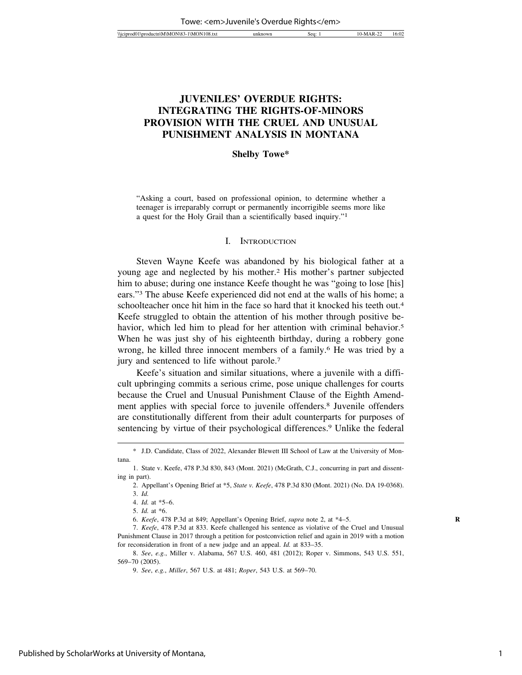### **JUVENILES' OVERDUE RIGHTS: INTEGRATING THE RIGHTS-OF-MINORS PROVISION WITH THE CRUEL AND UNUSUAL PUNISHMENT ANALYSIS IN MONTANA**

#### **Shelby Towe\***

"Asking a court, based on professional opinion, to determine whether a teenager is irreparably corrupt or permanently incorrigible seems more like a quest for the Holy Grail than a scientifically based inquiry."1

#### I. INTRODUCTION

Steven Wayne Keefe was abandoned by his biological father at a young age and neglected by his mother.2 His mother's partner subjected him to abuse; during one instance Keefe thought he was "going to lose [his] ears."3 The abuse Keefe experienced did not end at the walls of his home; a schoolteacher once hit him in the face so hard that it knocked his teeth out.<sup>4</sup> Keefe struggled to obtain the attention of his mother through positive behavior, which led him to plead for her attention with criminal behavior.<sup>5</sup> When he was just shy of his eighteenth birthday, during a robbery gone wrong, he killed three innocent members of a family.6 He was tried by a jury and sentenced to life without parole.7

Keefe's situation and similar situations, where a juvenile with a difficult upbringing commits a serious crime, pose unique challenges for courts because the Cruel and Unusual Punishment Clause of the Eighth Amendment applies with special force to juvenile offenders.<sup>8</sup> Juvenile offenders are constitutionally different from their adult counterparts for purposes of sentencing by virtue of their psychological differences.<sup>9</sup> Unlike the federal

<sup>\*</sup> J.D. Candidate, Class of 2022, Alexander Blewett III School of Law at the University of Montana.

<sup>1.</sup> State v. Keefe, 478 P.3d 830, 843 (Mont. 2021) (McGrath, C.J., concurring in part and dissenting in part).

<sup>2.</sup> Appellant's Opening Brief at \*5, *State v. Keefe*, 478 P.3d 830 (Mont. 2021) (No. DA 19-0368).

<sup>3.</sup> *Id.*

<sup>4.</sup> *Id.* at \*5–6.

<sup>5.</sup> *Id.* at \*6.

<sup>6.</sup> *Keefe*, 478 P.3d at 849; Appellant's Opening Brief, *supra* note 2, at \*4–5. **R**

<sup>7.</sup> *Keefe*, 478 P.3d at 833. Keefe challenged his sentence as violative of the Cruel and Unusual Punishment Clause in 2017 through a petition for postconviction relief and again in 2019 with a motion for reconsideration in front of a new judge and an appeal. *Id.* at 833–35.

<sup>8.</sup> *See*, *e.g.*, Miller v. Alabama, 567 U.S. 460, 481 (2012); Roper v. Simmons, 543 U.S. 551, 569–70 (2005).

<sup>9.</sup> *See*, *e.g.*, *Miller*, 567 U.S. at 481; *Roper*, 543 U.S. at 569–70.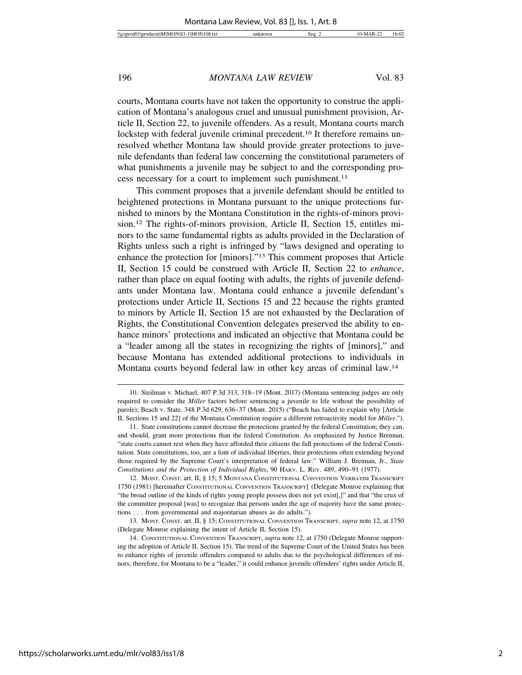courts, Montana courts have not taken the opportunity to construe the application of Montana's analogous cruel and unusual punishment provision, Article II, Section 22, to juvenile offenders. As a result, Montana courts march lockstep with federal juvenile criminal precedent.<sup>10</sup> It therefore remains unresolved whether Montana law should provide greater protections to juvenile defendants than federal law concerning the constitutional parameters of what punishments a juvenile may be subject to and the corresponding process necessary for a court to implement such punishment.11

This comment proposes that a juvenile defendant should be entitled to heightened protections in Montana pursuant to the unique protections furnished to minors by the Montana Constitution in the rights-of-minors provision.12 The rights-of-minors provision, Article II, Section 15, entitles minors to the same fundamental rights as adults provided in the Declaration of Rights unless such a right is infringed by "laws designed and operating to enhance the protection for [minors]."13 This comment proposes that Article II, Section 15 could be construed with Article II, Section 22 to *enhance*, rather than place on equal footing with adults, the rights of juvenile defendants under Montana law. Montana could enhance a juvenile defendant's protections under Article II, Sections 15 and 22 because the rights granted to minors by Article II, Section 15 are not exhausted by the Declaration of Rights, the Constitutional Convention delegates preserved the ability to enhance minors' protections and indicated an objective that Montana could be a "leader among all the states in recognizing the rights of [minors]," and because Montana has extended additional protections to individuals in Montana courts beyond federal law in other key areas of criminal law.14

13. MONT. CONST. art. II, § 15; CONSTITUTIONAL CONVENTION TRANSCRIPT, *supra* note 12, at 1750 (Delegate Monroe explaining the intent of Article II, Section 15).

<sup>10.</sup> Steilman v. Michael, 407 P.3d 313, 318–19 (Mont. 2017) (Montana sentencing judges are only required to consider the *Miller* factors before sentencing a juvenile to life without the possibility of parole); Beach v. State, 348 P.3d 629, 636–37 (Mont. 2015) ("Beach has failed to explain why [Article II, Sections 15 and 22] of the Montana Constitution require a different retroactivity model for *Miller*.").

<sup>11.</sup> State constitutions cannot decrease the protections granted by the federal Constitution; they can, and should, grant more protections than the federal Constitution. As emphasized by Justice Brennan, "state courts cannot rest when they have afforded their citizens the full protections of the federal Constitution. State constitutions, too, are a font of individual liberties, their protections often extending beyond those required by the Supreme Court's interpretation of federal law." William J. Brennan, Jr., *State Constitutions and the Protection of Individual Rights*, 90 HARV. L. REV. 489, 490–91 (1977).

<sup>12.</sup> MONT. CONST. art. II, § 15; 5 MONTANA CONSTITUTIONAL CONVENTION VERBATIM TRANSCRIPT 1750 (1981) [hereinafter CONSTITUTIONAL CONVENTION TRANSCRIPT] (Delegate Monroe explaining that "the broad outline of the kinds of rights young people possess does not yet exist[,]" and that "the crux of the committee proposal [was] to recognize that persons under the age of majority have the same protections . . . from governmental and majoritarian abuses as do adults.").

<sup>14.</sup> CONSTITUTIONAL CONVENTION TRANSCRIPT, *supra* note 12, at 1750 (Delegate Monroe supporting the adoption of Article II, Section 15). The trend of the Supreme Court of the United States has been to enhance rights of juvenile offenders compared to adults due to the psychological differences of minors; therefore, for Montana to be a "leader," it could enhance juvenile offenders' rights under Article II,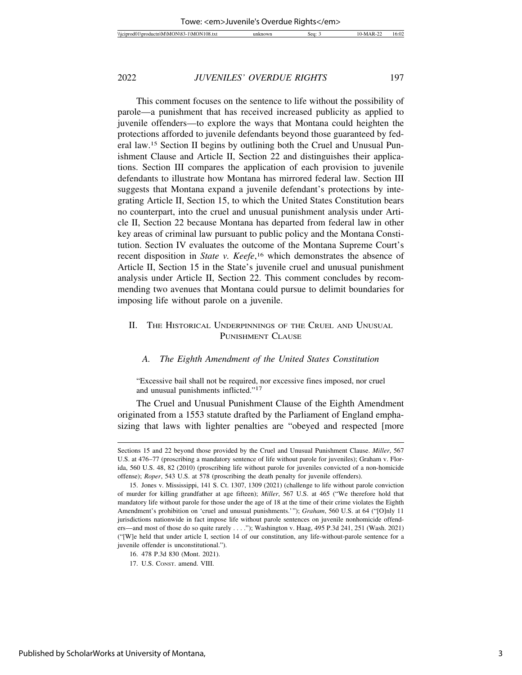This comment focuses on the sentence to life without the possibility of parole—a punishment that has received increased publicity as applied to juvenile offenders—to explore the ways that Montana could heighten the protections afforded to juvenile defendants beyond those guaranteed by federal law.15 Section II begins by outlining both the Cruel and Unusual Punishment Clause and Article II, Section 22 and distinguishes their applications. Section III compares the application of each provision to juvenile defendants to illustrate how Montana has mirrored federal law. Section III suggests that Montana expand a juvenile defendant's protections by integrating Article II, Section 15, to which the United States Constitution bears no counterpart, into the cruel and unusual punishment analysis under Article II, Section 22 because Montana has departed from federal law in other key areas of criminal law pursuant to public policy and the Montana Constitution. Section IV evaluates the outcome of the Montana Supreme Court's recent disposition in *State v. Keefe*, 16 which demonstrates the absence of Article II, Section 15 in the State's juvenile cruel and unusual punishment analysis under Article II, Section 22. This comment concludes by recommending two avenues that Montana could pursue to delimit boundaries for imposing life without parole on a juvenile.

#### II. THE HISTORICAL UNDERPINNINGS OF THE CRUEL AND UNUSUAL PUNISHMENT CLAUSE

#### *A. The Eighth Amendment of the United States Constitution*

"Excessive bail shall not be required, nor excessive fines imposed, nor cruel and unusual punishments inflicted."17

The Cruel and Unusual Punishment Clause of the Eighth Amendment originated from a 1553 statute drafted by the Parliament of England emphasizing that laws with lighter penalties are "obeyed and respected [more

Sections 15 and 22 beyond those provided by the Cruel and Unusual Punishment Clause. *Miller*, 567 U.S. at 476–77 (proscribing a mandatory sentence of life without parole for juveniles); Graham v. Florida, 560 U.S. 48, 82 (2010) (proscribing life without parole for juveniles convicted of a non-homicide offense); *Roper*, 543 U.S. at 578 (proscribing the death penalty for juvenile offenders).

<sup>15.</sup> Jones v. Mississippi, 141 S. Ct. 1307, 1309 (2021) (challenge to life without parole conviction of murder for killing grandfather at age fifteen); *Miller*, 567 U.S. at 465 ("We therefore hold that mandatory life without parole for those under the age of 18 at the time of their crime violates the Eighth Amendment's prohibition on 'cruel and unusual punishments.'"); *Graham*, 560 U.S. at 64 ("[O]nly 11 jurisdictions nationwide in fact impose life without parole sentences on juvenile nonhomicide offenders—and most of those do so quite rarely . . . ."); Washington v. Haag, 495 P.3d 241, 251 (Wash. 2021) ("[W]e held that under article I, section 14 of our constitution, any life-without-parole sentence for a juvenile offender is unconstitutional.").

<sup>16. 478</sup> P.3d 830 (Mont. 2021).

<sup>17.</sup> U.S. CONST. amend. VIII.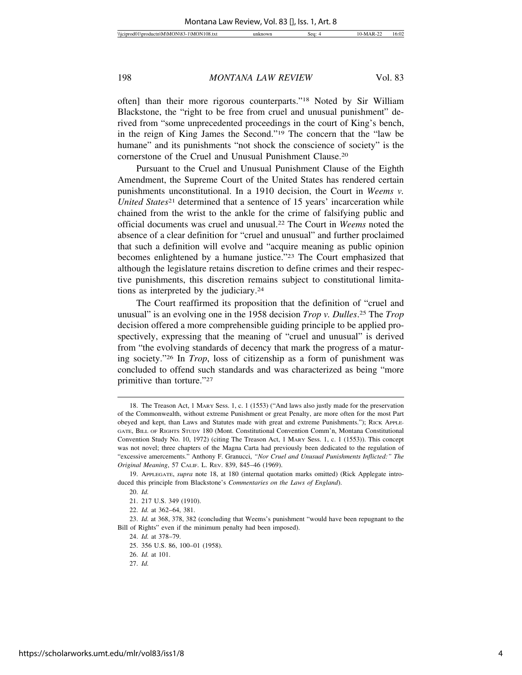often] than their more rigorous counterparts."18 Noted by Sir William Blackstone, the "right to be free from cruel and unusual punishment" derived from "some unprecedented proceedings in the court of King's bench, in the reign of King James the Second."19 The concern that the "law be humane" and its punishments "not shock the conscience of society" is the cornerstone of the Cruel and Unusual Punishment Clause.20

Pursuant to the Cruel and Unusual Punishment Clause of the Eighth Amendment, the Supreme Court of the United States has rendered certain punishments unconstitutional. In a 1910 decision, the Court in *Weems v. United States*<sup>21</sup> determined that a sentence of 15 years' incarceration while chained from the wrist to the ankle for the crime of falsifying public and official documents was cruel and unusual.22 The Court in *Weems* noted the absence of a clear definition for "cruel and unusual" and further proclaimed that such a definition will evolve and "acquire meaning as public opinion becomes enlightened by a humane justice."23 The Court emphasized that although the legislature retains discretion to define crimes and their respective punishments, this discretion remains subject to constitutional limitations as interpreted by the judiciary.24

The Court reaffirmed its proposition that the definition of "cruel and unusual" is an evolving one in the 1958 decision *Trop v. Dulles*. 25 The *Trop* decision offered a more comprehensible guiding principle to be applied prospectively, expressing that the meaning of "cruel and unusual" is derived from "the evolving standards of decency that mark the progress of a maturing society."26 In *Trop*, loss of citizenship as a form of punishment was concluded to offend such standards and was characterized as being "more primitive than torture."27

<sup>18.</sup> The Treason Act, 1 MARY Sess. 1, c. 1 (1553) ("And laws also justly made for the preservation of the Commonwealth, without extreme Punishment or great Penalty, are more often for the most Part obeyed and kept, than Laws and Statutes made with great and extreme Punishments."); RICK APPLE-GATE, BILL OF RIGHTS STUDY 180 (Mont. Constitutional Convention Comm'n, Montana Constitutional Convention Study No. 10, 1972) (citing The Treason Act, 1 MARY Sess. 1, c. 1 (1553)). This concept was not novel; three chapters of the Magna Carta had previously been dedicated to the regulation of "excessive amercements." Anthony F. Granucci, *"Nor Cruel and Unusual Punishments Inflicted:" The Original Meaning*, 57 CALIF. L. REV. 839, 845–46 (1969).

<sup>19.</sup> APPLEGATE, *supra* note 18, at 180 (internal quotation marks omitted) (Rick Applegate introduced this principle from Blackstone's *Commentaries on the Laws of England*).

<sup>20.</sup> *Id.*

<sup>21. 217</sup> U.S. 349 (1910).

<sup>22.</sup> *Id.* at 362–64, 381.

<sup>23.</sup> *Id.* at 368, 378, 382 (concluding that Weems's punishment "would have been repugnant to the Bill of Rights" even if the minimum penalty had been imposed).

<sup>24.</sup> *Id.* at 378–79.

<sup>25. 356</sup> U.S. 86, 100–01 (1958).

<sup>26.</sup> *Id.* at 101.

<sup>27.</sup> *Id.*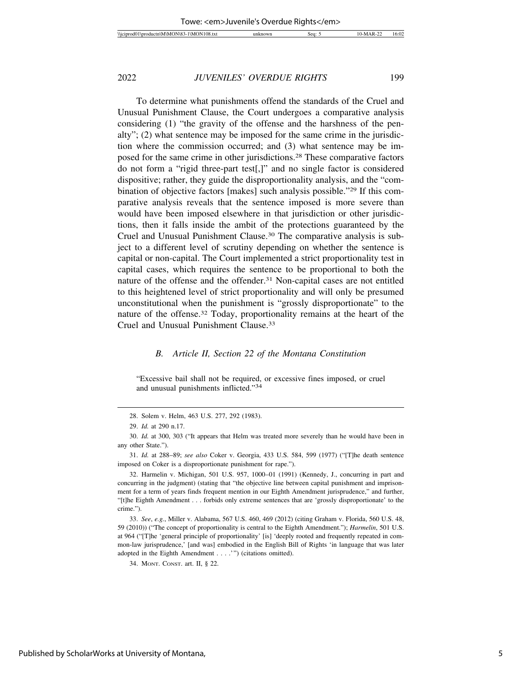To determine what punishments offend the standards of the Cruel and Unusual Punishment Clause, the Court undergoes a comparative analysis considering (1) "the gravity of the offense and the harshness of the penalty"; (2) what sentence may be imposed for the same crime in the jurisdiction where the commission occurred; and (3) what sentence may be imposed for the same crime in other jurisdictions.28 These comparative factors do not form a "rigid three-part test[,]" and no single factor is considered dispositive; rather, they guide the disproportionality analysis, and the "combination of objective factors [makes] such analysis possible."29 If this comparative analysis reveals that the sentence imposed is more severe than would have been imposed elsewhere in that jurisdiction or other jurisdictions, then it falls inside the ambit of the protections guaranteed by the Cruel and Unusual Punishment Clause.30 The comparative analysis is subject to a different level of scrutiny depending on whether the sentence is capital or non-capital. The Court implemented a strict proportionality test in capital cases, which requires the sentence to be proportional to both the nature of the offense and the offender.<sup>31</sup> Non-capital cases are not entitled to this heightened level of strict proportionality and will only be presumed unconstitutional when the punishment is "grossly disproportionate" to the nature of the offense.32 Today, proportionality remains at the heart of the Cruel and Unusual Punishment Clause.33

#### *B. Article II, Section 22 of the Montana Constitution*

"Excessive bail shall not be required, or excessive fines imposed, or cruel and unusual punishments inflicted."34

<sup>28.</sup> Solem v. Helm, 463 U.S. 277, 292 (1983).

<sup>29.</sup> *Id.* at 290 n.17.

<sup>30.</sup> *Id.* at 300, 303 ("It appears that Helm was treated more severely than he would have been in any other State.").

<sup>31.</sup> *Id.* at 288–89; *see also* Coker v. Georgia, 433 U.S. 584, 599 (1977) ("[T]he death sentence imposed on Coker is a disproportionate punishment for rape.").

<sup>32.</sup> Harmelin v. Michigan, 501 U.S. 957, 1000–01 (1991) (Kennedy, J., concurring in part and concurring in the judgment) (stating that "the objective line between capital punishment and imprisonment for a term of years finds frequent mention in our Eighth Amendment jurisprudence," and further, "[t]he Eighth Amendment . . . forbids only extreme sentences that are 'grossly disproportionate' to the crime.").

<sup>33.</sup> *See*, *e.g.*, Miller v. Alabama, 567 U.S. 460, 469 (2012) (citing Graham v. Florida, 560 U.S. 48, 59 (2010)) ("The concept of proportionality is central to the Eighth Amendment."); *Harmelin*, 501 U.S. at 964 ("[T]he 'general principle of proportionality' [is] 'deeply rooted and frequently repeated in common-law jurisprudence,' [and was] embodied in the English Bill of Rights 'in language that was later adopted in the Eighth Amendment . . . .'") (citations omitted).

<sup>34.</sup> MONT. CONST. art. II, § 22.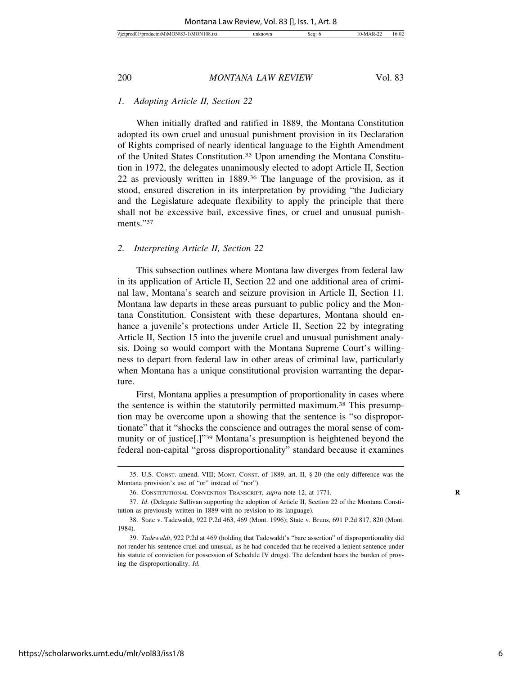#### *1. Adopting Article II, Section 22*

When initially drafted and ratified in 1889, the Montana Constitution adopted its own cruel and unusual punishment provision in its Declaration of Rights comprised of nearly identical language to the Eighth Amendment of the United States Constitution.35 Upon amending the Montana Constitution in 1972, the delegates unanimously elected to adopt Article II, Section 22 as previously written in 1889.36 The language of the provision, as it stood, ensured discretion in its interpretation by providing "the Judiciary and the Legislature adequate flexibility to apply the principle that there shall not be excessive bail, excessive fines, or cruel and unusual punishments."37

#### *2. Interpreting Article II, Section 22*

This subsection outlines where Montana law diverges from federal law in its application of Article II, Section 22 and one additional area of criminal law, Montana's search and seizure provision in Article II, Section 11. Montana law departs in these areas pursuant to public policy and the Montana Constitution. Consistent with these departures, Montana should enhance a juvenile's protections under Article II, Section 22 by integrating Article II, Section 15 into the juvenile cruel and unusual punishment analysis. Doing so would comport with the Montana Supreme Court's willingness to depart from federal law in other areas of criminal law, particularly when Montana has a unique constitutional provision warranting the departure.

First, Montana applies a presumption of proportionality in cases where the sentence is within the statutorily permitted maximum.<sup>38</sup> This presumption may be overcome upon a showing that the sentence is "so disproportionate" that it "shocks the conscience and outrages the moral sense of community or of justice[.]"39 Montana's presumption is heightened beyond the federal non-capital "gross disproportionality" standard because it examines

<sup>35.</sup> U.S. CONST. amend. VIII; MONT. CONST. of 1889, art. II, § 20 (the only difference was the Montana provision's use of "or" instead of "nor").

<sup>36.</sup> CONSTITUTIONAL CONVENTION TRANSCRIPT, *supra* note 12, at 1771. **R**

<sup>37.</sup> *Id*. (Delegate Sullivan supporting the adoption of Article II, Section 22 of the Montana Constitution as previously written in 1889 with no revision to its language).

<sup>38.</sup> State v. Tadewaldt, 922 P.2d 463, 469 (Mont. 1996); State v. Bruns, 691 P.2d 817, 820 (Mont. 1984).

<sup>39.</sup> *Tadewaldt*, 922 P.2d at 469 (holding that Tadewaldt's "bare assertion" of disproportionality did not render his sentence cruel and unusual, as he had conceded that he received a lenient sentence under his statute of conviction for possession of Schedule IV drugs). The defendant bears the burden of proving the disproportionality. *Id.*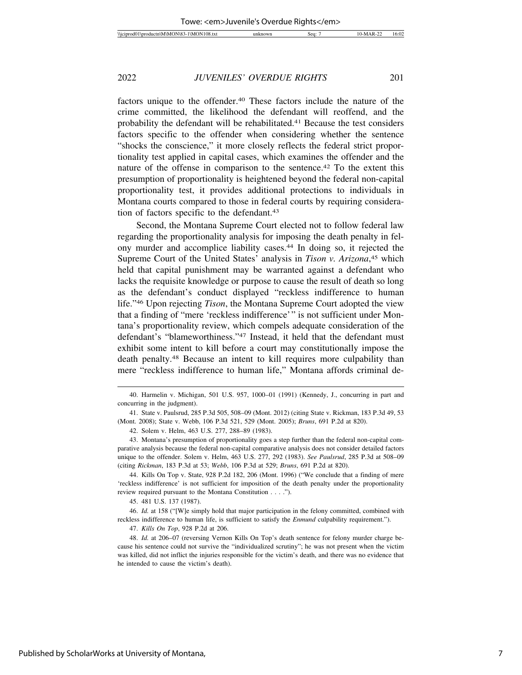factors unique to the offender.<sup>40</sup> These factors include the nature of the crime committed, the likelihood the defendant will reoffend, and the probability the defendant will be rehabilitated.41 Because the test considers factors specific to the offender when considering whether the sentence "shocks the conscience," it more closely reflects the federal strict proportionality test applied in capital cases, which examines the offender and the nature of the offense in comparison to the sentence.<sup>42</sup> To the extent this presumption of proportionality is heightened beyond the federal non-capital proportionality test, it provides additional protections to individuals in Montana courts compared to those in federal courts by requiring consideration of factors specific to the defendant.<sup>43</sup>

Second, the Montana Supreme Court elected not to follow federal law regarding the proportionality analysis for imposing the death penalty in felony murder and accomplice liability cases.44 In doing so, it rejected the Supreme Court of the United States' analysis in *Tison v. Arizona*,<sup>45</sup> which held that capital punishment may be warranted against a defendant who lacks the requisite knowledge or purpose to cause the result of death so long as the defendant's conduct displayed "reckless indifference to human life."46 Upon rejecting *Tison*, the Montana Supreme Court adopted the view that a finding of "mere 'reckless indifference'" is not sufficient under Montana's proportionality review, which compels adequate consideration of the defendant's "blameworthiness."47 Instead, it held that the defendant must exhibit some intent to kill before a court may constitutionally impose the death penalty.48 Because an intent to kill requires more culpability than mere "reckless indifference to human life," Montana affords criminal de-

44. Kills On Top v. State, 928 P.2d 182, 206 (Mont. 1996) ("We conclude that a finding of mere 'reckless indifference' is not sufficient for imposition of the death penalty under the proportionality review required pursuant to the Montana Constitution . . . .").

45. 481 U.S. 137 (1987).

46. *Id.* at 158 ("[W]e simply hold that major participation in the felony committed, combined with reckless indifference to human life, is sufficient to satisfy the *Enmund* culpability requirement.").

<sup>40.</sup> Harmelin v. Michigan, 501 U.S. 957, 1000–01 (1991) (Kennedy, J., concurring in part and concurring in the judgment).

<sup>41.</sup> State v. Paulsrud, 285 P.3d 505, 508–09 (Mont. 2012) (citing State v. Rickman, 183 P.3d 49, 53 (Mont. 2008); State v. Webb, 106 P.3d 521, 529 (Mont. 2005); *Bruns*, 691 P.2d at 820).

<sup>42.</sup> Solem v. Helm, 463 U.S. 277, 288–89 (1983).

<sup>43.</sup> Montana's presumption of proportionality goes a step further than the federal non-capital comparative analysis because the federal non-capital comparative analysis does not consider detailed factors unique to the offender. Solem v. Helm, 463 U.S. 277, 292 (1983). *See Paulsrud*, 285 P.3d at 508–09 (citing *Rickman*, 183 P.3d at 53; *Webb*, 106 P.3d at 529; *Bruns*, 691 P.2d at 820).

<sup>47.</sup> *Kills On Top*, 928 P.2d at 206.

<sup>48.</sup> *Id.* at 206–07 (reversing Vernon Kills On Top's death sentence for felony murder charge because his sentence could not survive the "individualized scrutiny"; he was not present when the victim was killed, did not inflict the injuries responsible for the victim's death, and there was no evidence that he intended to cause the victim's death).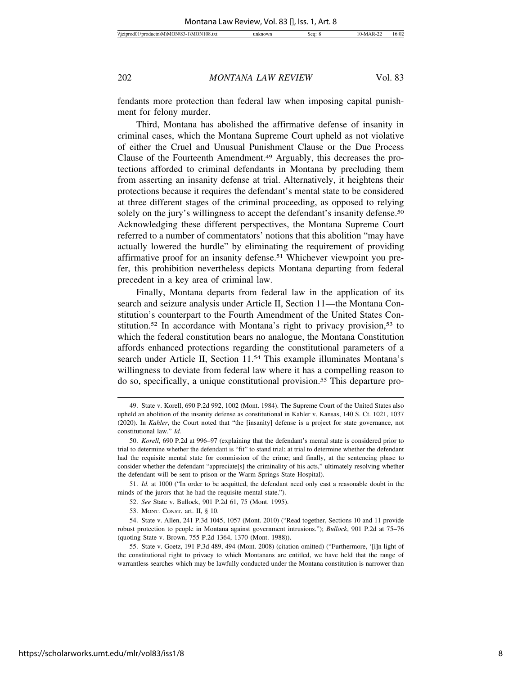fendants more protection than federal law when imposing capital punishment for felony murder.

Third, Montana has abolished the affirmative defense of insanity in criminal cases, which the Montana Supreme Court upheld as not violative of either the Cruel and Unusual Punishment Clause or the Due Process Clause of the Fourteenth Amendment.49 Arguably, this decreases the protections afforded to criminal defendants in Montana by precluding them from asserting an insanity defense at trial. Alternatively, it heightens their protections because it requires the defendant's mental state to be considered at three different stages of the criminal proceeding, as opposed to relying solely on the jury's willingness to accept the defendant's insanity defense.<sup>50</sup> Acknowledging these different perspectives, the Montana Supreme Court referred to a number of commentators' notions that this abolition "may have actually lowered the hurdle" by eliminating the requirement of providing affirmative proof for an insanity defense.51 Whichever viewpoint you prefer, this prohibition nevertheless depicts Montana departing from federal precedent in a key area of criminal law.

Finally, Montana departs from federal law in the application of its search and seizure analysis under Article II, Section 11—the Montana Constitution's counterpart to the Fourth Amendment of the United States Constitution.<sup>52</sup> In accordance with Montana's right to privacy provision.<sup>53</sup> to which the federal constitution bears no analogue, the Montana Constitution affords enhanced protections regarding the constitutional parameters of a search under Article II, Section 11.54 This example illuminates Montana's willingness to deviate from federal law where it has a compelling reason to do so, specifically, a unique constitutional provision.55 This departure pro-

51. *Id.* at 1000 ("In order to be acquitted, the defendant need only cast a reasonable doubt in the minds of the jurors that he had the requisite mental state.").

53. MONT. CONST. art. II, § 10.

<sup>49.</sup> State v. Korell, 690 P.2d 992, 1002 (Mont. 1984). The Supreme Court of the United States also upheld an abolition of the insanity defense as constitutional in Kahler v. Kansas, 140 S. Ct. 1021, 1037 (2020). In *Kahler*, the Court noted that "the [insanity] defense is a project for state governance, not constitutional law." *Id.*

<sup>50.</sup> *Korell*, 690 P.2d at 996–97 (explaining that the defendant's mental state is considered prior to trial to determine whether the defendant is "fit" to stand trial; at trial to determine whether the defendant had the requisite mental state for commission of the crime; and finally, at the sentencing phase to consider whether the defendant "appreciate[s] the criminality of his acts," ultimately resolving whether the defendant will be sent to prison or the Warm Springs State Hospital).

<sup>52.</sup> *See* State v. Bullock, 901 P.2d 61, 75 (Mont. 1995).

<sup>54.</sup> State v. Allen, 241 P.3d 1045, 1057 (Mont. 2010) ("Read together, Sections 10 and 11 provide robust protection to people in Montana against government intrusions."); *Bullock*, 901 P.2d at 75–76 (quoting State v. Brown, 755 P.2d 1364, 1370 (Mont. 1988)).

<sup>55.</sup> State v. Goetz, 191 P.3d 489, 494 (Mont. 2008) (citation omitted) ("Furthermore, '[i]n light of the constitutional right to privacy to which Montanans are entitled, we have held that the range of warrantless searches which may be lawfully conducted under the Montana constitution is narrower than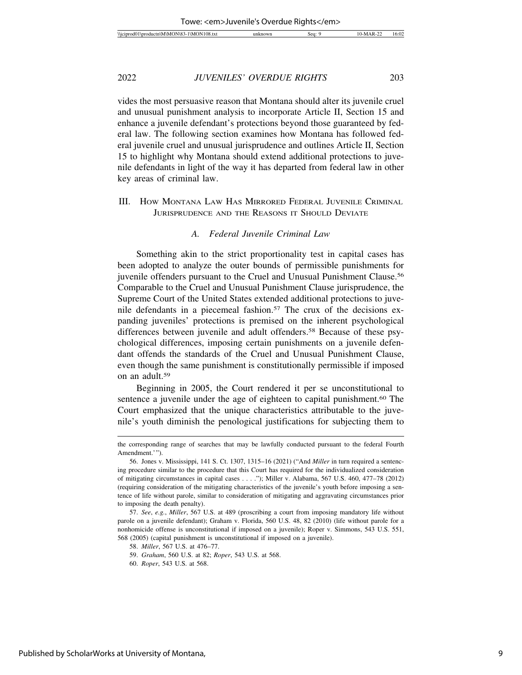vides the most persuasive reason that Montana should alter its juvenile cruel and unusual punishment analysis to incorporate Article II, Section 15 and enhance a juvenile defendant's protections beyond those guaranteed by federal law. The following section examines how Montana has followed federal juvenile cruel and unusual jurisprudence and outlines Article II, Section 15 to highlight why Montana should extend additional protections to juvenile defendants in light of the way it has departed from federal law in other key areas of criminal law.

III. HOW MONTANA LAW HAS MIRRORED FEDERAL JUVENILE CRIMINAL JURISPRUDENCE AND THE REASONS IT SHOULD DEVIATE

#### *A. Federal Juvenile Criminal Law*

Something akin to the strict proportionality test in capital cases has been adopted to analyze the outer bounds of permissible punishments for juvenile offenders pursuant to the Cruel and Unusual Punishment Clause.56 Comparable to the Cruel and Unusual Punishment Clause jurisprudence, the Supreme Court of the United States extended additional protections to juvenile defendants in a piecemeal fashion.<sup>57</sup> The crux of the decisions expanding juveniles' protections is premised on the inherent psychological differences between juvenile and adult offenders.58 Because of these psychological differences, imposing certain punishments on a juvenile defendant offends the standards of the Cruel and Unusual Punishment Clause, even though the same punishment is constitutionally permissible if imposed on an adult.59

Beginning in 2005, the Court rendered it per se unconstitutional to sentence a juvenile under the age of eighteen to capital punishment.<sup>60</sup> The Court emphasized that the unique characteristics attributable to the juvenile's youth diminish the penological justifications for subjecting them to

the corresponding range of searches that may be lawfully conducted pursuant to the federal Fourth Amendment.'").

<sup>56.</sup> Jones v. Mississippi, 141 S. Ct. 1307, 1315–16 (2021) ("And *Miller* in turn required a sentencing procedure similar to the procedure that this Court has required for the individualized consideration of mitigating circumstances in capital cases . . . ."); Miller v. Alabama, 567 U.S. 460, 477–78 (2012) (requiring consideration of the mitigating characteristics of the juvenile's youth before imposing a sentence of life without parole, similar to consideration of mitigating and aggravating circumstances prior to imposing the death penalty).

<sup>57.</sup> *See*, *e.g.*, *Miller*, 567 U.S. at 489 (proscribing a court from imposing mandatory life without parole on a juvenile defendant); Graham v. Florida, 560 U.S. 48, 82 (2010) (life without parole for a nonhomicide offense is unconstitutional if imposed on a juvenile); Roper v. Simmons, 543 U.S. 551, 568 (2005) (capital punishment is unconstitutional if imposed on a juvenile).

<sup>58.</sup> *Miller*, 567 U.S. at 476–77.

<sup>59.</sup> *Graham*, 560 U.S. at 82; *Roper*, 543 U.S. at 568.

<sup>60.</sup> *Roper*, 543 U.S. at 568.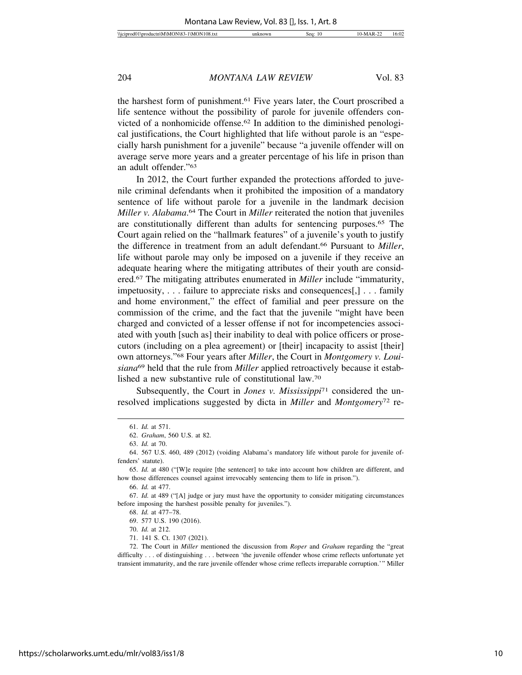the harshest form of punishment.61 Five years later, the Court proscribed a life sentence without the possibility of parole for juvenile offenders convicted of a nonhomicide offense.62 In addition to the diminished penological justifications, the Court highlighted that life without parole is an "especially harsh punishment for a juvenile" because "a juvenile offender will on average serve more years and a greater percentage of his life in prison than an adult offender."63

In 2012, the Court further expanded the protections afforded to juvenile criminal defendants when it prohibited the imposition of a mandatory sentence of life without parole for a juvenile in the landmark decision *Miller v. Alabama*. 64 The Court in *Miller* reiterated the notion that juveniles are constitutionally different than adults for sentencing purposes.65 The Court again relied on the "hallmark features" of a juvenile's youth to justify the difference in treatment from an adult defendant.66 Pursuant to *Miller*, life without parole may only be imposed on a juvenile if they receive an adequate hearing where the mitigating attributes of their youth are considered.67 The mitigating attributes enumerated in *Miller* include "immaturity, impetuosity, . . . failure to appreciate risks and consequences[,] . . . family and home environment," the effect of familial and peer pressure on the commission of the crime, and the fact that the juvenile "might have been charged and convicted of a lesser offense if not for incompetencies associated with youth [such as] their inability to deal with police officers or prosecutors (including on a plea agreement) or [their] incapacity to assist [their] own attorneys."68 Four years after *Miller*, the Court in *Montgomery v. Louisiana*69 held that the rule from *Miller* applied retroactively because it established a new substantive rule of constitutional law.70

Subsequently, the Court in *Jones v. Mississippi*71 considered the unresolved implications suggested by dicta in *Miller* and *Montgomery*72 re-

<sup>61.</sup> *Id.* at 571.

<sup>62.</sup> *Graham*, 560 U.S. at 82.

<sup>63.</sup> *Id.* at 70.

<sup>64. 567</sup> U.S. 460, 489 (2012) (voiding Alabama's mandatory life without parole for juvenile offenders' statute).

<sup>65.</sup> *Id.* at 480 ("[W]e require [the sentencer] to take into account how children are different, and how those differences counsel against irrevocably sentencing them to life in prison.").

<sup>66.</sup> *Id.* at 477.

<sup>67.</sup> *Id.* at 489 ("[A] judge or jury must have the opportunity to consider mitigating circumstances before imposing the harshest possible penalty for juveniles.").

<sup>68.</sup> *Id.* at 477–78.

<sup>69. 577</sup> U.S. 190 (2016).

<sup>70.</sup> *Id.* at 212.

<sup>71. 141</sup> S. Ct. 1307 (2021).

<sup>72.</sup> The Court in *Miller* mentioned the discussion from *Roper* and *Graham* regarding the "great difficulty . . . of distinguishing . . . between 'the juvenile offender whose crime reflects unfortunate yet transient immaturity, and the rare juvenile offender whose crime reflects irreparable corruption.'" Miller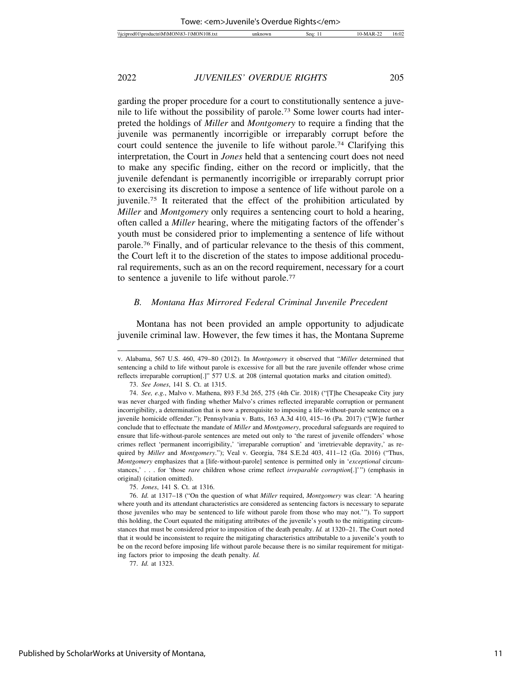garding the proper procedure for a court to constitutionally sentence a juvenile to life without the possibility of parole.73 Some lower courts had interpreted the holdings of *Miller* and *Montgomery* to require a finding that the juvenile was permanently incorrigible or irreparably corrupt before the court could sentence the juvenile to life without parole.74 Clarifying this interpretation, the Court in *Jones* held that a sentencing court does not need to make any specific finding, either on the record or implicitly, that the juvenile defendant is permanently incorrigible or irreparably corrupt prior to exercising its discretion to impose a sentence of life without parole on a juvenile.75 It reiterated that the effect of the prohibition articulated by *Miller* and *Montgomery* only requires a sentencing court to hold a hearing, often called a *Miller* hearing, where the mitigating factors of the offender's youth must be considered prior to implementing a sentence of life without parole.76 Finally, and of particular relevance to the thesis of this comment, the Court left it to the discretion of the states to impose additional procedural requirements, such as an on the record requirement, necessary for a court to sentence a juvenile to life without parole.77

#### *B. Montana Has Mirrored Federal Criminal Juvenile Precedent*

Montana has not been provided an ample opportunity to adjudicate juvenile criminal law. However, the few times it has, the Montana Supreme

73. *See Jones*, 141 S. Ct. at 1315.

75. *Jones*, 141 S. Ct. at 1316.

v. Alabama, 567 U.S. 460, 479–80 (2012). In *Montgomery* it observed that "*Miller* determined that sentencing a child to life without parole is excessive for all but the rare juvenile offender whose crime reflects irreparable corruption[.]" 577 U.S. at 208 (internal quotation marks and citation omitted).

<sup>74.</sup> *See, e.g.*, Malvo v. Mathena, 893 F.3d 265, 275 (4th Cir. 2018) ("[T]he Chesapeake City jury was never charged with finding whether Malvo's crimes reflected irreparable corruption or permanent incorrigibility, a determination that is now a prerequisite to imposing a life-without-parole sentence on a juvenile homicide offender."); Pennsylvania v. Batts, 163 A.3d 410, 415–16 (Pa. 2017) ("[W]e further conclude that to effectuate the mandate of *Miller* and *Montgomery*, procedural safeguards are required to ensure that life-without-parole sentences are meted out only to 'the rarest of juvenile offenders' whose crimes reflect 'permanent incorrigibility,' 'irreparable corruption' and 'irretrievable depravity,' as required by *Miller* and *Montgomery*."); Veal v. Georgia, 784 S.E.2d 403, 411–12 (Ga. 2016) ("Thus, *Montgomery* emphasizes that a [life-without-parole] sentence is permitted only in '*exceptional* circumstances,' . . . for 'those *rare* children whose crime reflect *irreparable corruption*[.]'") (emphasis in original) (citation omitted).

<sup>76.</sup> *Id.* at 1317–18 ("On the question of what *Miller* required, *Montgomery* was clear: 'A hearing where youth and its attendant characteristics are considered as sentencing factors is necessary to separate those juveniles who may be sentenced to life without parole from those who may not.'"). To support this holding, the Court equated the mitigating attributes of the juvenile's youth to the mitigating circumstances that must be considered prior to imposition of the death penalty. *Id.* at 1320–21. The Court noted that it would be inconsistent to require the mitigating characteristics attributable to a juvenile's youth to be on the record before imposing life without parole because there is no similar requirement for mitigating factors prior to imposing the death penalty. *Id.*

<sup>77.</sup> *Id.* at 1323.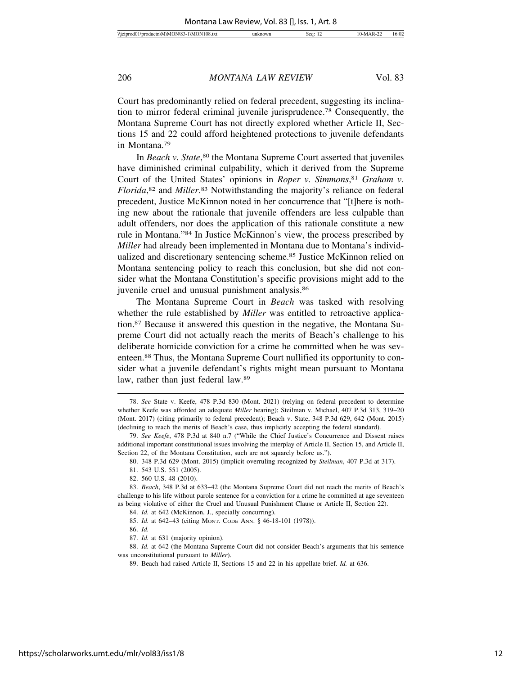Court has predominantly relied on federal precedent, suggesting its inclination to mirror federal criminal juvenile jurisprudence.78 Consequently, the Montana Supreme Court has not directly explored whether Article II, Sections 15 and 22 could afford heightened protections to juvenile defendants in Montana.79

In *Beach v. State*,<sup>80</sup> the Montana Supreme Court asserted that juveniles have diminished criminal culpability, which it derived from the Supreme Court of the United States' opinions in *Roper v. Simmons*, <sup>81</sup> *Graham v. Florida*, 82 and *Miller*. 83 Notwithstanding the majority's reliance on federal precedent, Justice McKinnon noted in her concurrence that "[t]here is nothing new about the rationale that juvenile offenders are less culpable than adult offenders, nor does the application of this rationale constitute a new rule in Montana."84 In Justice McKinnon's view, the process prescribed by *Miller* had already been implemented in Montana due to Montana's individualized and discretionary sentencing scheme.85 Justice McKinnon relied on Montana sentencing policy to reach this conclusion, but she did not consider what the Montana Constitution's specific provisions might add to the juvenile cruel and unusual punishment analysis.<sup>86</sup>

The Montana Supreme Court in *Beach* was tasked with resolving whether the rule established by *Miller* was entitled to retroactive application.87 Because it answered this question in the negative, the Montana Supreme Court did not actually reach the merits of Beach's challenge to his deliberate homicide conviction for a crime he committed when he was seventeen.88 Thus, the Montana Supreme Court nullified its opportunity to consider what a juvenile defendant's rights might mean pursuant to Montana law, rather than just federal law.89

<sup>78.</sup> *See* State v. Keefe, 478 P.3d 830 (Mont. 2021) (relying on federal precedent to determine whether Keefe was afforded an adequate *Miller* hearing); Steilman v. Michael, 407 P.3d 313, 319–20 (Mont. 2017) (citing primarily to federal precedent); Beach v. State, 348 P.3d 629, 642 (Mont. 2015) (declining to reach the merits of Beach's case, thus implicitly accepting the federal standard).

<sup>79.</sup> *See Keefe*, 478 P.3d at 840 n.7 ("While the Chief Justice's Concurrence and Dissent raises additional important constitutional issues involving the interplay of Article II, Section 15, and Article II, Section 22, of the Montana Constitution, such are not squarely before us.").

<sup>80. 348</sup> P.3d 629 (Mont. 2015) (implicit overruling recognized by *Steilman*, 407 P.3d at 317).

<sup>81. 543</sup> U.S. 551 (2005).

<sup>82. 560</sup> U.S. 48 (2010).

<sup>83.</sup> *Beach*, 348 P.3d at 633–42 (the Montana Supreme Court did not reach the merits of Beach's challenge to his life without parole sentence for a conviction for a crime he committed at age seventeen as being violative of either the Cruel and Unusual Punishment Clause or Article II, Section 22).

<sup>84.</sup> *Id.* at 642 (McKinnon, J., specially concurring).

<sup>85.</sup> *Id.* at 642–43 (citing MONT. CODE ANN. § 46-18-101 (1978)).

<sup>86.</sup> *Id.*

<sup>87.</sup> *Id.* at 631 (majority opinion).

<sup>88.</sup> *Id.* at 642 (the Montana Supreme Court did not consider Beach's arguments that his sentence was unconstitutional pursuant to *Miller*).

<sup>89.</sup> Beach had raised Article II, Sections 15 and 22 in his appellate brief. *Id.* at 636.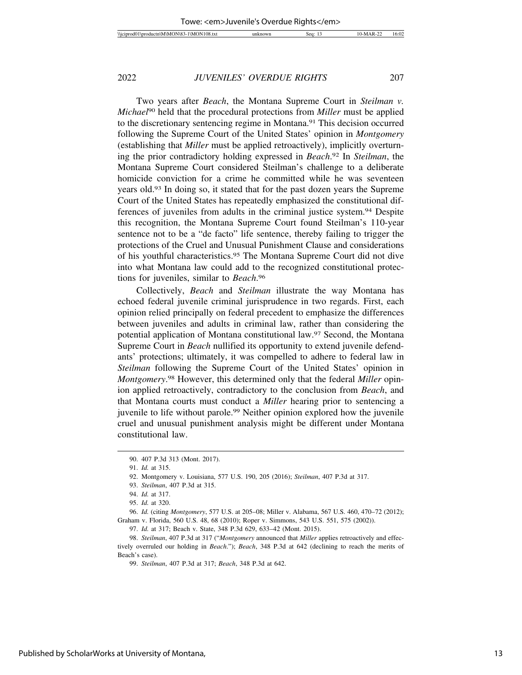Two years after *Beach*, the Montana Supreme Court in *Steilman v. Michael*90 held that the procedural protections from *Miller* must be applied to the discretionary sentencing regime in Montana.91 This decision occurred following the Supreme Court of the United States' opinion in *Montgomery* (establishing that *Miller* must be applied retroactively), implicitly overturning the prior contradictory holding expressed in *Beach*. 92 In *Steilman*, the Montana Supreme Court considered Steilman's challenge to a deliberate homicide conviction for a crime he committed while he was seventeen years old.93 In doing so, it stated that for the past dozen years the Supreme Court of the United States has repeatedly emphasized the constitutional differences of juveniles from adults in the criminal justice system.94 Despite this recognition, the Montana Supreme Court found Steilman's 110-year sentence not to be a "de facto" life sentence, thereby failing to trigger the protections of the Cruel and Unusual Punishment Clause and considerations of his youthful characteristics.95 The Montana Supreme Court did not dive into what Montana law could add to the recognized constitutional protections for juveniles, similar to *Beach*. 96

Collectively, *Beach* and *Steilman* illustrate the way Montana has echoed federal juvenile criminal jurisprudence in two regards. First, each opinion relied principally on federal precedent to emphasize the differences between juveniles and adults in criminal law, rather than considering the potential application of Montana constitutional law.97 Second, the Montana Supreme Court in *Beach* nullified its opportunity to extend juvenile defendants' protections; ultimately, it was compelled to adhere to federal law in *Steilman* following the Supreme Court of the United States' opinion in *Montgomery*. 98 However, this determined only that the federal *Miller* opinion applied retroactively, contradictory to the conclusion from *Beach*, and that Montana courts must conduct a *Miller* hearing prior to sentencing a juvenile to life without parole.99 Neither opinion explored how the juvenile cruel and unusual punishment analysis might be different under Montana constitutional law.

96. *Id.* (citing *Montgomery*, 577 U.S. at 205–08; Miller v. Alabama, 567 U.S. 460, 470–72 (2012); Graham v. Florida, 560 U.S. 48, 68 (2010); Roper v. Simmons, 543 U.S. 551, 575 (2002)).

<sup>90. 407</sup> P.3d 313 (Mont. 2017).

<sup>91.</sup> *Id.* at 315.

<sup>92.</sup> Montgomery v. Louisiana, 577 U.S. 190, 205 (2016); *Steilman*, 407 P.3d at 317.

<sup>93.</sup> *Steilman*, 407 P.3d at 315.

<sup>94.</sup> *Id.* at 317.

<sup>95.</sup> *Id.* at 320.

<sup>97.</sup> *Id.* at 317; Beach v. State, 348 P.3d 629, 633–42 (Mont. 2015).

<sup>98.</sup> *Steilman*, 407 P.3d at 317 ("*Montgomery* announced that *Miller* applies retroactively and effectively overruled our holding in *Beach*."); *Beach*, 348 P.3d at 642 (declining to reach the merits of Beach's case).

<sup>99.</sup> *Steilman*, 407 P.3d at 317; *Beach*, 348 P.3d at 642.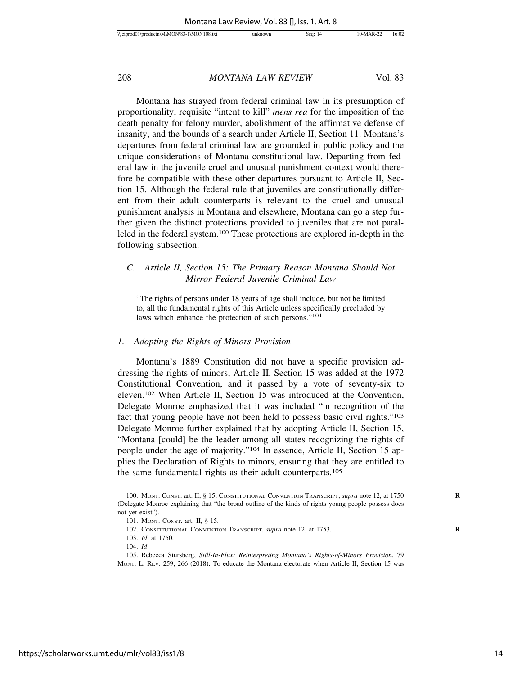Montana has strayed from federal criminal law in its presumption of proportionality, requisite "intent to kill" *mens rea* for the imposition of the death penalty for felony murder, abolishment of the affirmative defense of insanity, and the bounds of a search under Article II, Section 11. Montana's departures from federal criminal law are grounded in public policy and the unique considerations of Montana constitutional law. Departing from federal law in the juvenile cruel and unusual punishment context would therefore be compatible with these other departures pursuant to Article II, Section 15. Although the federal rule that juveniles are constitutionally different from their adult counterparts is relevant to the cruel and unusual punishment analysis in Montana and elsewhere, Montana can go a step further given the distinct protections provided to juveniles that are not paralleled in the federal system.100 These protections are explored in-depth in the following subsection.

#### *C. Article II, Section 15: The Primary Reason Montana Should Not Mirror Federal Juvenile Criminal Law*

"The rights of persons under 18 years of age shall include, but not be limited to, all the fundamental rights of this Article unless specifically precluded by laws which enhance the protection of such persons."101

#### *1. Adopting the Rights-of-Minors Provision*

Montana's 1889 Constitution did not have a specific provision addressing the rights of minors; Article II, Section 15 was added at the 1972 Constitutional Convention, and it passed by a vote of seventy-six to eleven.102 When Article II, Section 15 was introduced at the Convention, Delegate Monroe emphasized that it was included "in recognition of the fact that young people have not been held to possess basic civil rights."103 Delegate Monroe further explained that by adopting Article II, Section 15, "Montana [could] be the leader among all states recognizing the rights of people under the age of majority."104 In essence, Article II, Section 15 applies the Declaration of Rights to minors, ensuring that they are entitled to the same fundamental rights as their adult counterparts.105

<sup>100.</sup> MONT. CONST. art. II, § 15; CONSTITUTIONAL CONVENTION TRANSCRIPT, *supra* note 12, at 1750 **R** (Delegate Monroe explaining that "the broad outline of the kinds of rights young people possess does not yet exist").

<sup>101.</sup> MONT. CONST. art. II, § 15.

<sup>102.</sup> CONSTITUTIONAL CONVENTION TRANSCRIPT, *supra* note 12, at 1753. **R**

<sup>103.</sup> *Id*. at 1750.

<sup>104.</sup> *Id*.

<sup>105.</sup> Rebecca Stursberg, *Still-In-Flux: Reinterpreting Montana's Rights-of-Minors Provision*, 79 MONT. L. REV. 259, 266 (2018). To educate the Montana electorate when Article II, Section 15 was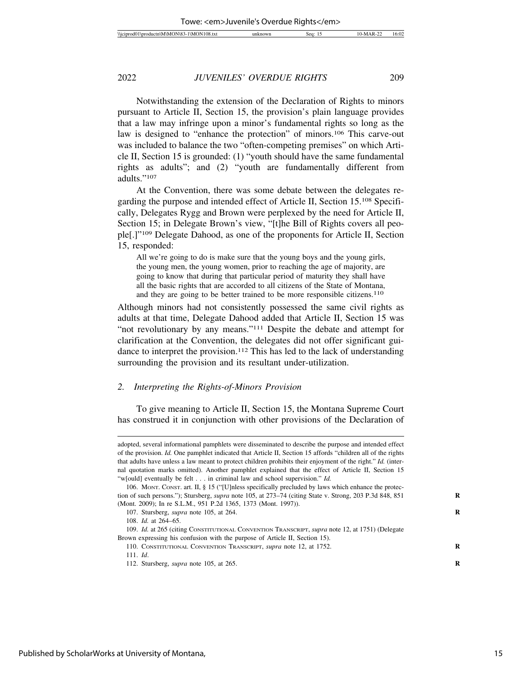Notwithstanding the extension of the Declaration of Rights to minors pursuant to Article II, Section 15, the provision's plain language provides that a law may infringe upon a minor's fundamental rights so long as the law is designed to "enhance the protection" of minors.106 This carve-out was included to balance the two "often-competing premises" on which Article II, Section 15 is grounded: (1) "youth should have the same fundamental rights as adults"; and (2) "youth are fundamentally different from adults."107

At the Convention, there was some debate between the delegates regarding the purpose and intended effect of Article II, Section 15.108 Specifically, Delegates Rygg and Brown were perplexed by the need for Article II, Section 15; in Delegate Brown's view, "[t]he Bill of Rights covers all people[.]"109 Delegate Dahood, as one of the proponents for Article II, Section 15, responded:

All we're going to do is make sure that the young boys and the young girls, the young men, the young women, prior to reaching the age of majority, are going to know that during that particular period of maturity they shall have all the basic rights that are accorded to all citizens of the State of Montana, and they are going to be better trained to be more responsible citizens.<sup>110</sup>

Although minors had not consistently possessed the same civil rights as adults at that time, Delegate Dahood added that Article II, Section 15 was "not revolutionary by any means."<sup>111</sup> Despite the debate and attempt for clarification at the Convention, the delegates did not offer significant guidance to interpret the provision.<sup>112</sup> This has led to the lack of understanding surrounding the provision and its resultant under-utilization.

#### *2. Interpreting the Rights-of-Minors Provision*

To give meaning to Article II, Section 15, the Montana Supreme Court has construed it in conjunction with other provisions of the Declaration of

adopted, several informational pamphlets were disseminated to describe the purpose and intended effect of the provision. *Id.* One pamphlet indicated that Article II, Section 15 affords "children all of the rights that adults have unless a law meant to protect children prohibits their enjoyment of the right." *Id.* (internal quotation marks omitted). Another pamphlet explained that the effect of Article II, Section 15 "w[ould] eventually be felt . . . in criminal law and school supervision." *Id.* 106. MONT. CONST. art. II, § 15 ("[U]nless specifically precluded by laws which enhance the protection of such persons."); Stursberg, *supra* note 105, at 273–74 (citing State v. Strong, 203 P.3d 848, 851 **R** (Mont. 2009); In re S.L.M., 951 P.2d 1365, 1373 (Mont. 1997)).

<sup>107.</sup> Stursberg, *supra* note 105, at 264. **R**

<sup>108.</sup> *Id.* at 264–65.

<sup>109.</sup> *Id.* at 265 (citing CONSTITUTIONAL CONVENTION TRANSCRIPT, *supra* note 12, at 1751) (Delegate Brown expressing his confusion with the purpose of Article II, Section 15).

<sup>110.</sup> CONSTITUTIONAL CONVENTION TRANSCRIPT, *supra* note 12, at 1752. **R**

<sup>111.</sup> *Id*.

<sup>112.</sup> Stursberg, *supra* note 105, at 265. **R**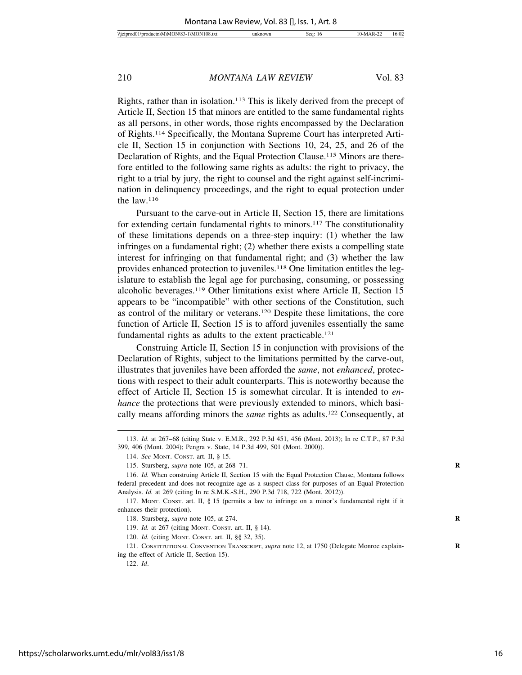Rights, rather than in isolation.113 This is likely derived from the precept of Article II, Section 15 that minors are entitled to the same fundamental rights as all persons, in other words, those rights encompassed by the Declaration of Rights.114 Specifically, the Montana Supreme Court has interpreted Article II, Section 15 in conjunction with Sections 10, 24, 25, and 26 of the Declaration of Rights, and the Equal Protection Clause.115 Minors are therefore entitled to the following same rights as adults: the right to privacy, the right to a trial by jury, the right to counsel and the right against self-incrimination in delinquency proceedings, and the right to equal protection under the law.116

Pursuant to the carve-out in Article II, Section 15, there are limitations for extending certain fundamental rights to minors.<sup>117</sup> The constitutionality of these limitations depends on a three-step inquiry: (1) whether the law infringes on a fundamental right; (2) whether there exists a compelling state interest for infringing on that fundamental right; and (3) whether the law provides enhanced protection to juveniles.118 One limitation entitles the legislature to establish the legal age for purchasing, consuming, or possessing alcoholic beverages.119 Other limitations exist where Article II, Section 15 appears to be "incompatible" with other sections of the Constitution, such as control of the military or veterans.120 Despite these limitations, the core function of Article II, Section 15 is to afford juveniles essentially the same fundamental rights as adults to the extent practicable.<sup>121</sup>

Construing Article II, Section 15 in conjunction with provisions of the Declaration of Rights, subject to the limitations permitted by the carve-out, illustrates that juveniles have been afforded the *same*, not *enhanced*, protections with respect to their adult counterparts. This is noteworthy because the effect of Article II, Section 15 is somewhat circular. It is intended to *enhance* the protections that were previously extended to minors, which basically means affording minors the *same* rights as adults.122 Consequently, at

122. *Id*.

<sup>113.</sup> *Id.* at 267–68 (citing State v. E.M.R., 292 P.3d 451, 456 (Mont. 2013); In re C.T.P., 87 P.3d 399, 406 (Mont. 2004); Pengra v. State, 14 P.3d 499, 501 (Mont. 2000)).

<sup>114.</sup> *See* MONT. CONST. art. II, § 15.

<sup>115.</sup> Stursberg, *supra* note 105, at 268–71. **R**

<sup>116.</sup> *Id.* When construing Article II, Section 15 with the Equal Protection Clause, Montana follows federal precedent and does not recognize age as a suspect class for purposes of an Equal Protection Analysis. *Id.* at 269 (citing In re S.M.K.-S.H., 290 P.3d 718, 722 (Mont. 2012)).

<sup>117.</sup> MONT. CONST. art. II, § 15 (permits a law to infringe on a minor's fundamental right if it enhances their protection).

<sup>118.</sup> Stursberg, *supra* note 105, at 274. **R**

<sup>119.</sup> *Id.* at 267 (citing MONT. CONST. art. II, § 14).

<sup>120.</sup> *Id.* (citing MONT. CONST. art. II, §§ 32, 35).

<sup>121.</sup> CONSTITUTIONAL CONVENTION TRANSCRIPT, *supra* note 12, at 1750 (Delegate Monroe explain- **R** ing the effect of Article II, Section 15).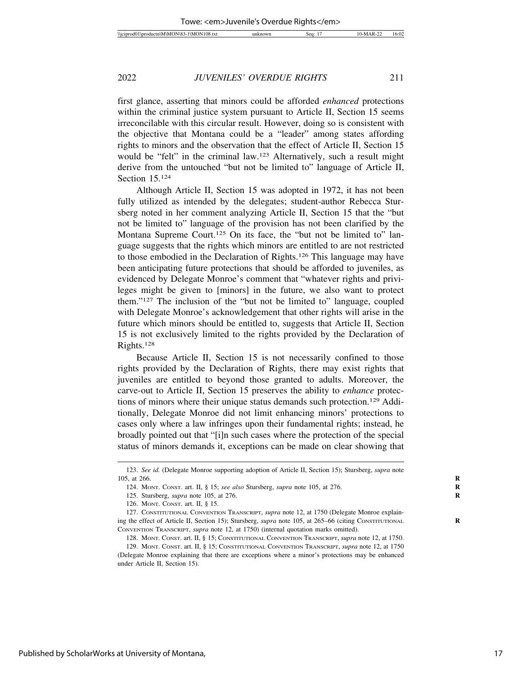first glance, asserting that minors could be afforded *enhanced* protections within the criminal justice system pursuant to Article II, Section 15 seems irreconcilable with this circular result. However, doing so is consistent with the objective that Montana could be a "leader" among states affording rights to minors and the observation that the effect of Article II, Section 15 would be "felt" in the criminal law.<sup>123</sup> Alternatively, such a result might derive from the untouched "but not be limited to" language of Article II, Section 15.124

Although Article II, Section 15 was adopted in 1972, it has not been fully utilized as intended by the delegates; student-author Rebecca Stursberg noted in her comment analyzing Article II, Section 15 that the "but not be limited to" language of the provision has not been clarified by the Montana Supreme Court.<sup>125</sup> On its face, the "but not be limited to" language suggests that the rights which minors are entitled to are not restricted to those embodied in the Declaration of Rights.126 This language may have been anticipating future protections that should be afforded to juveniles, as evidenced by Delegate Monroe's comment that "whatever rights and privileges might be given to [minors] in the future, we also want to protect them."127 The inclusion of the "but not be limited to" language, coupled with Delegate Monroe's acknowledgement that other rights will arise in the future which minors should be entitled to, suggests that Article II, Section 15 is not exclusively limited to the rights provided by the Declaration of Rights.128

Because Article II, Section 15 is not necessarily confined to those rights provided by the Declaration of Rights, there may exist rights that juveniles are entitled to beyond those granted to adults. Moreover, the carve-out to Article II, Section 15 preserves the ability to *enhance* protections of minors where their unique status demands such protection.129 Additionally, Delegate Monroe did not limit enhancing minors' protections to cases only where a law infringes upon their fundamental rights; instead, he broadly pointed out that "[i]n such cases where the protection of the special status of minors demands it, exceptions can be made on clear showing that

<sup>123.</sup> *See id.* (Delegate Monroe supporting adoption of Article II, Section 15); Stursberg, *supra* note 105, at 266. **R**

<sup>124.</sup> MONT. CONST. art. II, § 15; *see also* Stursberg, *supra* note 105, at 276. **R**

<sup>125.</sup> Stursberg, *supra* note 105, at 276. **R**

<sup>126.</sup> MONT. CONST. art. II, § 15.

<sup>127.</sup> CONSTITUTIONAL CONVENTION TRANSCRIPT, *supra* note 12, at 1750 (Delegate Monroe explaining the effect of Article II, Section 15); Stursberg, *supra* note 105, at 265–66 (citing CONSTITUTIONAL **R** CONVENTION TRANSCRIPT, *supra* note 12, at 1750) (internal quotation marks omitted).

<sup>128.</sup> MONT. CONST. art. II, § 15; CONSTITUTIONAL CONVENTION TRANSCRIPT, *supra* note 12, at 1750.

<sup>129.</sup> MONT. CONST. art. II, § 15; CONSTITUTIONAL CONVENTION TRANSCRIPT, *supra* note 12, at 1750 (Delegate Monroe explaining that there are exceptions where a minor's protections may be enhanced under Article II, Section 15).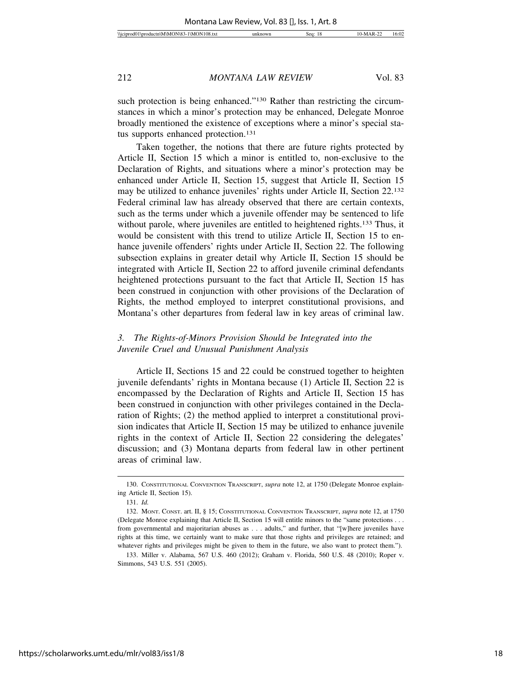such protection is being enhanced."<sup>130</sup> Rather than restricting the circumstances in which a minor's protection may be enhanced, Delegate Monroe broadly mentioned the existence of exceptions where a minor's special status supports enhanced protection.<sup>131</sup>

Taken together, the notions that there are future rights protected by Article II, Section 15 which a minor is entitled to, non-exclusive to the Declaration of Rights, and situations where a minor's protection may be enhanced under Article II, Section 15, suggest that Article II, Section 15 may be utilized to enhance juveniles' rights under Article II, Section 22.132 Federal criminal law has already observed that there are certain contexts, such as the terms under which a juvenile offender may be sentenced to life without parole, where juveniles are entitled to heightened rights.<sup>133</sup> Thus, it would be consistent with this trend to utilize Article II, Section 15 to enhance juvenile offenders' rights under Article II, Section 22. The following subsection explains in greater detail why Article II, Section 15 should be integrated with Article II, Section 22 to afford juvenile criminal defendants heightened protections pursuant to the fact that Article II, Section 15 has been construed in conjunction with other provisions of the Declaration of Rights, the method employed to interpret constitutional provisions, and Montana's other departures from federal law in key areas of criminal law.

#### *3. The Rights-of-Minors Provision Should be Integrated into the Juvenile Cruel and Unusual Punishment Analysis*

Article II, Sections 15 and 22 could be construed together to heighten juvenile defendants' rights in Montana because (1) Article II, Section 22 is encompassed by the Declaration of Rights and Article II, Section 15 has been construed in conjunction with other privileges contained in the Declaration of Rights; (2) the method applied to interpret a constitutional provision indicates that Article II, Section 15 may be utilized to enhance juvenile rights in the context of Article II, Section 22 considering the delegates' discussion; and (3) Montana departs from federal law in other pertinent areas of criminal law.

<sup>130.</sup> CONSTITUTIONAL CONVENTION TRANSCRIPT, *supra* note 12, at 1750 (Delegate Monroe explaining Article II, Section 15).

<sup>131.</sup> *Id.*

<sup>132.</sup> MONT. CONST. art. II, § 15; CONSTITUTIONAL CONVENTION TRANSCRIPT, *supra* note 12, at 1750 (Delegate Monroe explaining that Article II, Section 15 will entitle minors to the "same protections . . . from governmental and majoritarian abuses as . . . adults," and further, that "[w]here juveniles have rights at this time, we certainly want to make sure that those rights and privileges are retained; and whatever rights and privileges might be given to them in the future, we also want to protect them.").

<sup>133.</sup> Miller v. Alabama, 567 U.S. 460 (2012); Graham v. Florida, 560 U.S. 48 (2010); Roper v. Simmons, 543 U.S. 551 (2005).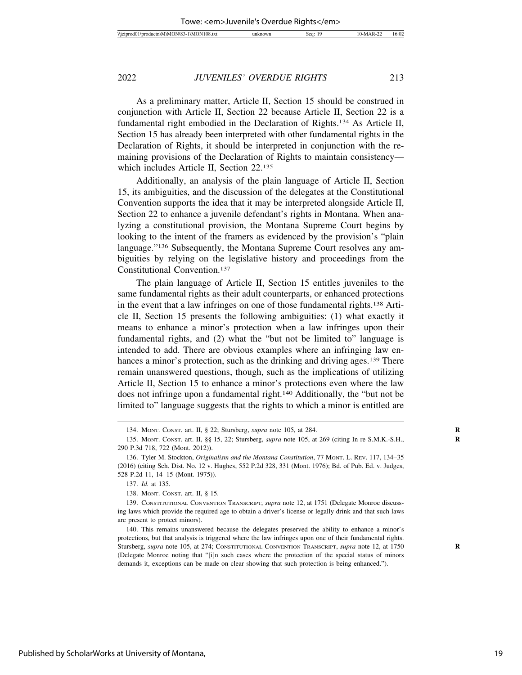As a preliminary matter, Article II, Section 15 should be construed in conjunction with Article II, Section 22 because Article II, Section 22 is a fundamental right embodied in the Declaration of Rights.134 As Article II, Section 15 has already been interpreted with other fundamental rights in the Declaration of Rights, it should be interpreted in conjunction with the remaining provisions of the Declaration of Rights to maintain consistency which includes Article II, Section 22.135

Additionally, an analysis of the plain language of Article II, Section 15, its ambiguities, and the discussion of the delegates at the Constitutional Convention supports the idea that it may be interpreted alongside Article II, Section 22 to enhance a juvenile defendant's rights in Montana. When analyzing a constitutional provision, the Montana Supreme Court begins by looking to the intent of the framers as evidenced by the provision's "plain language."136 Subsequently, the Montana Supreme Court resolves any ambiguities by relying on the legislative history and proceedings from the Constitutional Convention.137

The plain language of Article II, Section 15 entitles juveniles to the same fundamental rights as their adult counterparts, or enhanced protections in the event that a law infringes on one of those fundamental rights.138 Article II, Section 15 presents the following ambiguities: (1) what exactly it means to enhance a minor's protection when a law infringes upon their fundamental rights, and (2) what the "but not be limited to" language is intended to add. There are obvious examples where an infringing law enhances a minor's protection, such as the drinking and driving ages.<sup>139</sup> There remain unanswered questions, though, such as the implications of utilizing Article II, Section 15 to enhance a minor's protections even where the law does not infringe upon a fundamental right.140 Additionally, the "but not be limited to" language suggests that the rights to which a minor is entitled are

<sup>134.</sup> MONT. CONST. art. II, § 22; Stursberg, *supra* note 105, at 284. **R**

<sup>135.</sup> MONT. CONST. art. II, §§ 15, 22; Stursberg, *supra* note 105, at 269 (citing In re S.M.K.-S.H., **R** 290 P.3d 718, 722 (Mont. 2012)).

<sup>136.</sup> Tyler M. Stockton, *Originalism and the Montana Constitution*, 77 MONT. L. REV. 117, 134–35 (2016) (citing Sch. Dist. No. 12 v. Hughes, 552 P.2d 328, 331 (Mont. 1976); Bd. of Pub. Ed. v. Judges, 528 P.2d 11, 14–15 (Mont. 1975)).

<sup>137.</sup> *Id.* at 135.

<sup>138.</sup> MONT. CONST. art. II, § 15.

<sup>139.</sup> CONSTITUTIONAL CONVENTION TRANSCRIPT, *supra* note 12, at 1751 (Delegate Monroe discussing laws which provide the required age to obtain a driver's license or legally drink and that such laws are present to protect minors).

<sup>140.</sup> This remains unanswered because the delegates preserved the ability to enhance a minor's protections, but that analysis is triggered where the law infringes upon one of their fundamental rights. Stursberg, *supra* note 105, at 274; CONSTITUTIONAL CONVENTION TRANSCRIPT, *supra* note 12, at 1750 **R** (Delegate Monroe noting that "[i]n such cases where the protection of the special status of minors demands it, exceptions can be made on clear showing that such protection is being enhanced.").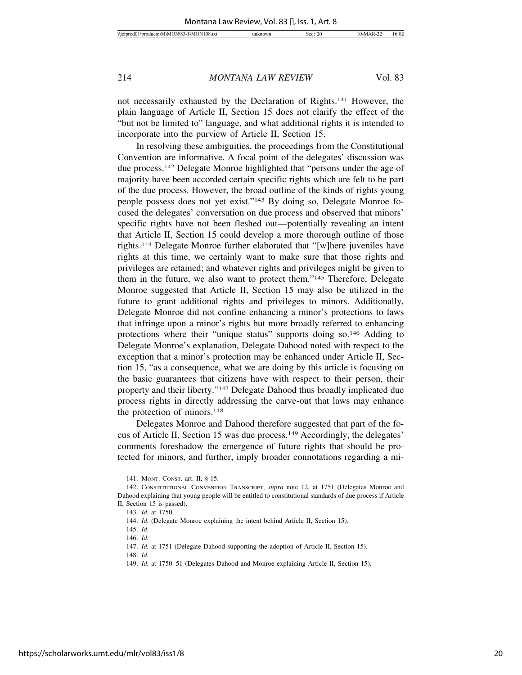not necessarily exhausted by the Declaration of Rights.141 However, the plain language of Article II, Section 15 does not clarify the effect of the "but not be limited to" language, and what additional rights it is intended to incorporate into the purview of Article II, Section 15.

In resolving these ambiguities, the proceedings from the Constitutional Convention are informative. A focal point of the delegates' discussion was due process.142 Delegate Monroe highlighted that "persons under the age of majority have been accorded certain specific rights which are felt to be part of the due process. However, the broad outline of the kinds of rights young people possess does not yet exist."143 By doing so, Delegate Monroe focused the delegates' conversation on due process and observed that minors' specific rights have not been fleshed out—potentially revealing an intent that Article II, Section 15 could develop a more thorough outline of those rights.144 Delegate Monroe further elaborated that "[w]here juveniles have rights at this time, we certainly want to make sure that those rights and privileges are retained; and whatever rights and privileges might be given to them in the future, we also want to protect them."145 Therefore, Delegate Monroe suggested that Article II, Section 15 may also be utilized in the future to grant additional rights and privileges to minors. Additionally, Delegate Monroe did not confine enhancing a minor's protections to laws that infringe upon a minor's rights but more broadly referred to enhancing protections where their "unique status" supports doing so.146 Adding to Delegate Monroe's explanation, Delegate Dahood noted with respect to the exception that a minor's protection may be enhanced under Article II, Section 15, "as a consequence, what we are doing by this article is focusing on the basic guarantees that citizens have with respect to their person, their property and their liberty."147 Delegate Dahood thus broadly implicated due process rights in directly addressing the carve-out that laws may enhance the protection of minors.148

Delegates Monroe and Dahood therefore suggested that part of the focus of Article II, Section 15 was due process.149 Accordingly, the delegates' comments foreshadow the emergence of future rights that should be protected for minors, and further, imply broader connotations regarding a mi-

<sup>141.</sup> MONT. CONST. art. II, § 15.

<sup>142.</sup> CONSTITUTIONAL CONVENTION TRANSCRIPT, *supra* note 12, at 1751 (Delegates Monroe and Dahood explaining that young people will be entitled to constitutional standards of due process if Article II, Section 15 is passed).

<sup>143.</sup> *Id.* at 1750.

<sup>144.</sup> *Id.* (Delegate Monroe explaining the intent behind Article II, Section 15).

<sup>145.</sup> *Id.*

<sup>146.</sup> *Id.*

<sup>147.</sup> *Id.* at 1751 (Delegate Dahood supporting the adoption of Article II, Section 15).

<sup>148.</sup> *Id.*

<sup>149.</sup> *Id.* at 1750–51 (Delegates Dahood and Monroe explaining Article II, Section 15).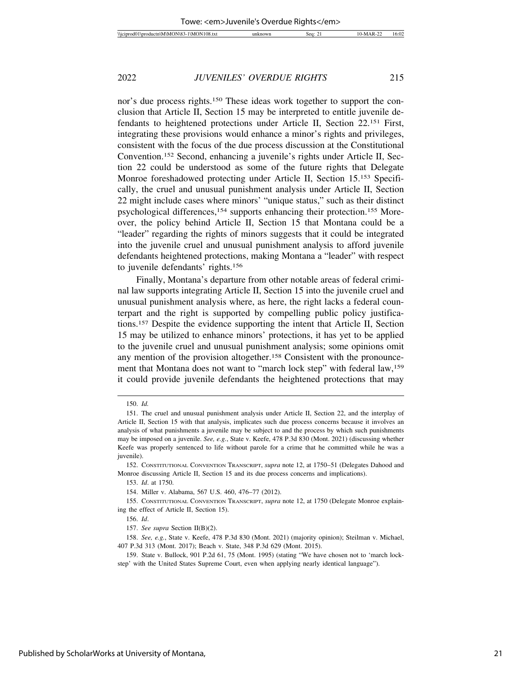nor's due process rights.<sup>150</sup> These ideas work together to support the conclusion that Article II, Section 15 may be interpreted to entitle juvenile defendants to heightened protections under Article II, Section 22.151 First, integrating these provisions would enhance a minor's rights and privileges, consistent with the focus of the due process discussion at the Constitutional Convention.152 Second, enhancing a juvenile's rights under Article II, Section 22 could be understood as some of the future rights that Delegate Monroe foreshadowed protecting under Article II, Section 15.153 Specifically, the cruel and unusual punishment analysis under Article II, Section 22 might include cases where minors' "unique status," such as their distinct psychological differences,<sup>154</sup> supports enhancing their protection.<sup>155</sup> Moreover, the policy behind Article II, Section 15 that Montana could be a "leader" regarding the rights of minors suggests that it could be integrated into the juvenile cruel and unusual punishment analysis to afford juvenile defendants heightened protections, making Montana a "leader" with respect to juvenile defendants' rights.156

Finally, Montana's departure from other notable areas of federal criminal law supports integrating Article II, Section 15 into the juvenile cruel and unusual punishment analysis where, as here, the right lacks a federal counterpart and the right is supported by compelling public policy justifications.157 Despite the evidence supporting the intent that Article II, Section 15 may be utilized to enhance minors' protections, it has yet to be applied to the juvenile cruel and unusual punishment analysis; some opinions omit any mention of the provision altogether.158 Consistent with the pronouncement that Montana does not want to "march lock step" with federal law,<sup>159</sup> it could provide juvenile defendants the heightened protections that may

<sup>150.</sup> *Id.*

<sup>151.</sup> The cruel and unusual punishment analysis under Article II, Section 22, and the interplay of Article II, Section 15 with that analysis, implicates such due process concerns because it involves an analysis of what punishments a juvenile may be subject to and the process by which such punishments may be imposed on a juvenile. *See, e.g.*, State v. Keefe, 478 P.3d 830 (Mont. 2021) (discussing whether Keefe was properly sentenced to life without parole for a crime that he committed while he was a juvenile).

<sup>152.</sup> CONSTITUTIONAL CONVENTION TRANSCRIPT, *supra* note 12, at 1750–51 (Delegates Dahood and Monroe discussing Article II, Section 15 and its due process concerns and implications).

<sup>153.</sup> *Id*. at 1750.

<sup>154.</sup> Miller v. Alabama, 567 U.S. 460, 476–77 (2012).

<sup>155.</sup> CONSTITUTIONAL CONVENTION TRANSCRIPT, *supra* note 12, at 1750 (Delegate Monroe explaining the effect of Article II, Section 15).

<sup>156.</sup> *Id*.

<sup>157.</sup> *See supra* Section II(B)(2).

<sup>158.</sup> *See, e.g.*, State v. Keefe, 478 P.3d 830 (Mont. 2021) (majority opinion); Steilman v. Michael, 407 P.3d 313 (Mont. 2017); Beach v. State, 348 P.3d 629 (Mont. 2015).

<sup>159.</sup> State v. Bullock, 901 P.2d 61, 75 (Mont. 1995) (stating "We have chosen not to 'march lockstep' with the United States Supreme Court, even when applying nearly identical language").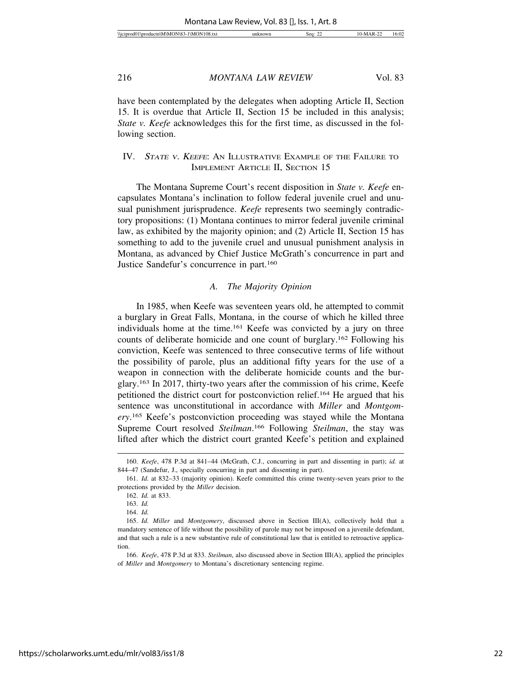| $\sim$<br>$\Omega$<br>٦N۰<br>I\M!<br><i><b>MCIDI</b></i><br>diam'r.<br>sea.<br>. AM'<br>וחו<br>16:U<br><b>TU8.1X.</b><br>оансп<br>. הו<br>``<br><b><i><u>L</u></i></b> |
|------------------------------------------------------------------------------------------------------------------------------------------------------------------------|
|------------------------------------------------------------------------------------------------------------------------------------------------------------------------|

have been contemplated by the delegates when adopting Article II, Section 15. It is overdue that Article II, Section 15 be included in this analysis; *State v. Keefe* acknowledges this for the first time, as discussed in the following section.

#### IV. <sup>S</sup>TATE <sup>V</sup>. KEEFE: AN ILLUSTRATIVE EXAMPLE OF THE FAILURE TO IMPLEMENT ARTICLE II, SECTION 15

The Montana Supreme Court's recent disposition in *State v. Keefe* encapsulates Montana's inclination to follow federal juvenile cruel and unusual punishment jurisprudence. *Keefe* represents two seemingly contradictory propositions: (1) Montana continues to mirror federal juvenile criminal law, as exhibited by the majority opinion; and (2) Article II, Section 15 has something to add to the juvenile cruel and unusual punishment analysis in Montana, as advanced by Chief Justice McGrath's concurrence in part and Justice Sandefur's concurrence in part.160

#### *A. The Majority Opinion*

In 1985, when Keefe was seventeen years old, he attempted to commit a burglary in Great Falls, Montana, in the course of which he killed three individuals home at the time.161 Keefe was convicted by a jury on three counts of deliberate homicide and one count of burglary.162 Following his conviction, Keefe was sentenced to three consecutive terms of life without the possibility of parole, plus an additional fifty years for the use of a weapon in connection with the deliberate homicide counts and the burglary.163 In 2017, thirty-two years after the commission of his crime, Keefe petitioned the district court for postconviction relief.164 He argued that his sentence was unconstitutional in accordance with *Miller* and *Montgomery*. 165 Keefe's postconviction proceeding was stayed while the Montana Supreme Court resolved *Steilman*. 166 Following *Steilman*, the stay was lifted after which the district court granted Keefe's petition and explained

<sup>160.</sup> *Keefe*, 478 P.3d at 841–44 (McGrath, C.J., concurring in part and dissenting in part); *id.* at 844–47 (Sandefur, J., specially concurring in part and dissenting in part).

<sup>161.</sup> *Id.* at 832–33 (majority opinion). Keefe committed this crime twenty-seven years prior to the protections provided by the *Miller* decision.

<sup>162.</sup> *Id.* at 833.

<sup>163.</sup> *Id.*

<sup>164.</sup> *Id.*

<sup>165.</sup> *Id. Miller* and *Montgomery*, discussed above in Section III(A), collectively hold that a mandatory sentence of life without the possibility of parole may not be imposed on a juvenile defendant, and that such a rule is a new substantive rule of constitutional law that is entitled to retroactive application.

<sup>166.</sup> *Keefe*, 478 P.3d at 833. *Steilman*, also discussed above in Section III(A), applied the principles of *Miller* and *Montgomery* to Montana's discretionary sentencing regime.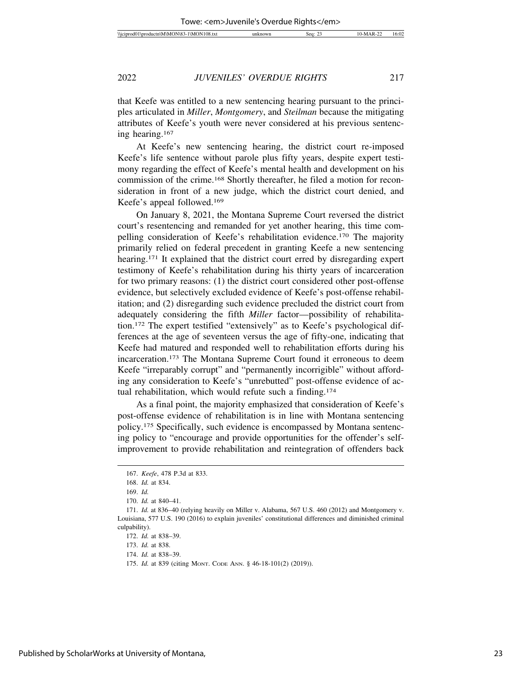that Keefe was entitled to a new sentencing hearing pursuant to the principles articulated in *Miller*, *Montgomery*, and *Steilman* because the mitigating attributes of Keefe's youth were never considered at his previous sentencing hearing.167

At Keefe's new sentencing hearing, the district court re-imposed Keefe's life sentence without parole plus fifty years, despite expert testimony regarding the effect of Keefe's mental health and development on his commission of the crime.168 Shortly thereafter, he filed a motion for reconsideration in front of a new judge, which the district court denied, and Keefe's appeal followed.169

On January 8, 2021, the Montana Supreme Court reversed the district court's resentencing and remanded for yet another hearing, this time compelling consideration of Keefe's rehabilitation evidence.170 The majority primarily relied on federal precedent in granting Keefe a new sentencing hearing.<sup>171</sup> It explained that the district court erred by disregarding expert testimony of Keefe's rehabilitation during his thirty years of incarceration for two primary reasons: (1) the district court considered other post-offense evidence, but selectively excluded evidence of Keefe's post-offense rehabilitation; and (2) disregarding such evidence precluded the district court from adequately considering the fifth *Miller* factor—possibility of rehabilitation.172 The expert testified "extensively" as to Keefe's psychological differences at the age of seventeen versus the age of fifty-one, indicating that Keefe had matured and responded well to rehabilitation efforts during his incarceration.173 The Montana Supreme Court found it erroneous to deem Keefe "irreparably corrupt" and "permanently incorrigible" without affording any consideration to Keefe's "unrebutted" post-offense evidence of actual rehabilitation, which would refute such a finding.174

As a final point, the majority emphasized that consideration of Keefe's post-offense evidence of rehabilitation is in line with Montana sentencing policy.175 Specifically, such evidence is encompassed by Montana sentencing policy to "encourage and provide opportunities for the offender's selfimprovement to provide rehabilitation and reintegration of offenders back

<sup>167.</sup> *Keefe*, 478 P.3d at 833.

<sup>168.</sup> *Id.* at 834.

<sup>169.</sup> *Id.*

<sup>170.</sup> *Id.* at 840–41.

<sup>171.</sup> *Id.* at 836–40 (relying heavily on Miller v. Alabama, 567 U.S. 460 (2012) and Montgomery v. Louisiana, 577 U.S. 190 (2016) to explain juveniles' constitutional differences and diminished criminal culpability).

<sup>172.</sup> *Id.* at 838–39.

<sup>173.</sup> *Id.* at 838.

<sup>174.</sup> *Id.* at 838–39.

<sup>175.</sup> *Id.* at 839 (citing MONT. CODE ANN. § 46-18-101(2) (2019)).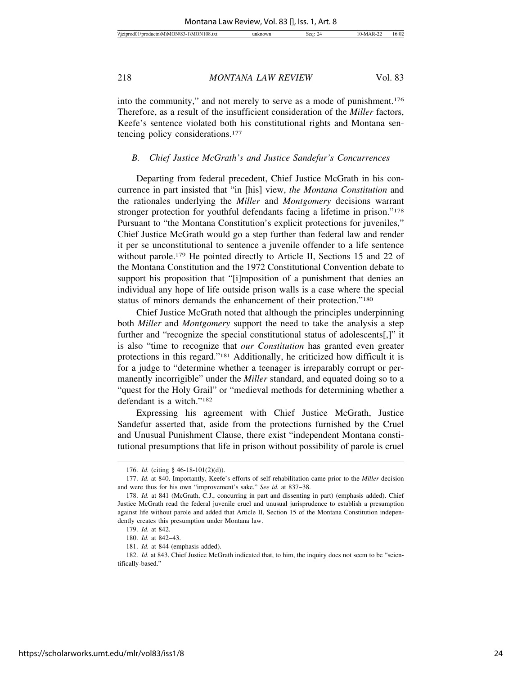into the community," and not merely to serve as a mode of punishment.176 Therefore, as a result of the insufficient consideration of the *Miller* factors, Keefe's sentence violated both his constitutional rights and Montana sentencing policy considerations.177

#### *B. Chief Justice McGrath's and Justice Sandefur's Concurrences*

Departing from federal precedent, Chief Justice McGrath in his concurrence in part insisted that "in [his] view, *the Montana Constitution* and the rationales underlying the *Miller* and *Montgomery* decisions warrant stronger protection for youthful defendants facing a lifetime in prison."178 Pursuant to "the Montana Constitution's explicit protections for juveniles," Chief Justice McGrath would go a step further than federal law and render it per se unconstitutional to sentence a juvenile offender to a life sentence without parole.<sup>179</sup> He pointed directly to Article II, Sections 15 and 22 of the Montana Constitution and the 1972 Constitutional Convention debate to support his proposition that "[i]mposition of a punishment that denies an individual any hope of life outside prison walls is a case where the special status of minors demands the enhancement of their protection."180

Chief Justice McGrath noted that although the principles underpinning both *Miller* and *Montgomery* support the need to take the analysis a step further and "recognize the special constitutional status of adolescents[,]" it is also "time to recognize that *our Constitution* has granted even greater protections in this regard."181 Additionally, he criticized how difficult it is for a judge to "determine whether a teenager is irreparably corrupt or permanently incorrigible" under the *Miller* standard, and equated doing so to a "quest for the Holy Grail" or "medieval methods for determining whether a defendant is a witch."182

Expressing his agreement with Chief Justice McGrath, Justice Sandefur asserted that, aside from the protections furnished by the Cruel and Unusual Punishment Clause, there exist "independent Montana constitutional presumptions that life in prison without possibility of parole is cruel

<sup>176.</sup> *Id.* (citing § 46-18-101(2)(d)).

<sup>177.</sup> *Id.* at 840. Importantly, Keefe's efforts of self-rehabilitation came prior to the *Miller* decision and were thus for his own "improvement's sake." *See id.* at 837–38.

<sup>178.</sup> *Id.* at 841 (McGrath, C.J., concurring in part and dissenting in part) (emphasis added). Chief Justice McGrath read the federal juvenile cruel and unusual jurisprudence to establish a presumption against life without parole and added that Article II, Section 15 of the Montana Constitution independently creates this presumption under Montana law.

<sup>179.</sup> *Id.* at 842.

<sup>180.</sup> *Id.* at 842–43.

<sup>181.</sup> *Id.* at 844 (emphasis added).

<sup>182.</sup> *Id.* at 843. Chief Justice McGrath indicated that, to him, the inquiry does not seem to be "scientifically-based."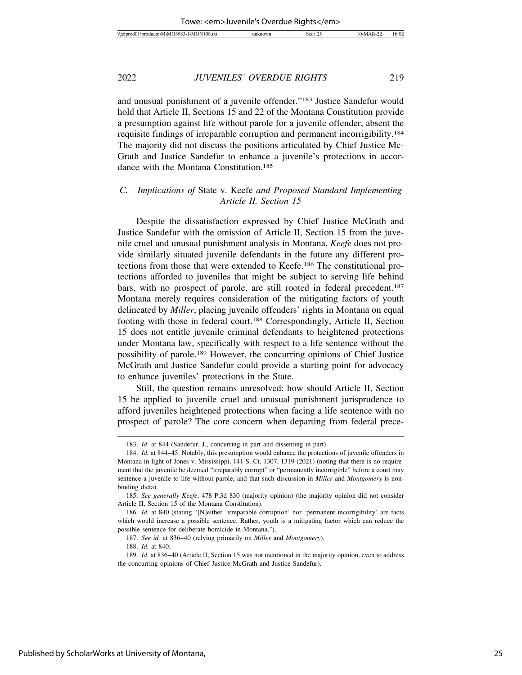and unusual punishment of a juvenile offender."183 Justice Sandefur would hold that Article II, Sections 15 and 22 of the Montana Constitution provide a presumption against life without parole for a juvenile offender, absent the requisite findings of irreparable corruption and permanent incorrigibility.184 The majority did not discuss the positions articulated by Chief Justice Mc-Grath and Justice Sandefur to enhance a juvenile's protections in accordance with the Montana Constitution.185

#### *C. Implications of* State v. Keefe *and Proposed Standard Implementing Article II, Section 15*

Despite the dissatisfaction expressed by Chief Justice McGrath and Justice Sandefur with the omission of Article II, Section 15 from the juvenile cruel and unusual punishment analysis in Montana, *Keefe* does not provide similarly situated juvenile defendants in the future any different protections from those that were extended to Keefe.186 The constitutional protections afforded to juveniles that might be subject to serving life behind bars, with no prospect of parole, are still rooted in federal precedent.187 Montana merely requires consideration of the mitigating factors of youth delineated by *Miller*, placing juvenile offenders' rights in Montana on equal footing with those in federal court.188 Correspondingly, Article II, Section 15 does not entitle juvenile criminal defendants to heightened protections under Montana law, specifically with respect to a life sentence without the possibility of parole.189 However, the concurring opinions of Chief Justice McGrath and Justice Sandefur could provide a starting point for advocacy to enhance juveniles' protections in the State.

Still, the question remains unresolved: how should Article II, Section 15 be applied to juvenile cruel and unusual punishment jurisprudence to afford juveniles heightened protections when facing a life sentence with no prospect of parole? The core concern when departing from federal prece-

<sup>183.</sup> *Id.* at 844 (Sandefur, J., concurring in part and dissenting in part).

<sup>184.</sup> *Id.* at 844–45. Notably, this presumption would enhance the protections of juvenile offenders in Montana in light of Jones v. Mississippi, 141 S. Ct. 1307, 1319 (2021) (noting that there is no requirement that the juvenile be deemed "irreparably corrupt" or "permanently incorrigible" before a court may sentence a juvenile to life without parole, and that such discussion in *Miller* and *Montgomery* is nonbinding dicta).

<sup>185.</sup> *See generally Keefe*, 478 P.3d 830 (majority opinion) (the majority opinion did not consider Article II, Section 15 of the Montana Constitution).

<sup>186.</sup> *Id.* at 840 (stating "[N]either 'irreparable corruption' nor 'permanent incorrigibility' are facts which would increase a possible sentence. Rather, youth is a mitigating factor which can reduce the possible sentence for deliberate homicide in Montana.").

<sup>187.</sup> *See id.* at 836–40 (relying primarily on *Miller* and *Montgomery*).

<sup>188.</sup> *Id.* at 840.

<sup>189.</sup> *Id.* at 836–40 (Article II, Section 15 was not mentioned in the majority opinion, even to address the concurring opinions of Chief Justice McGrath and Justice Sandefur).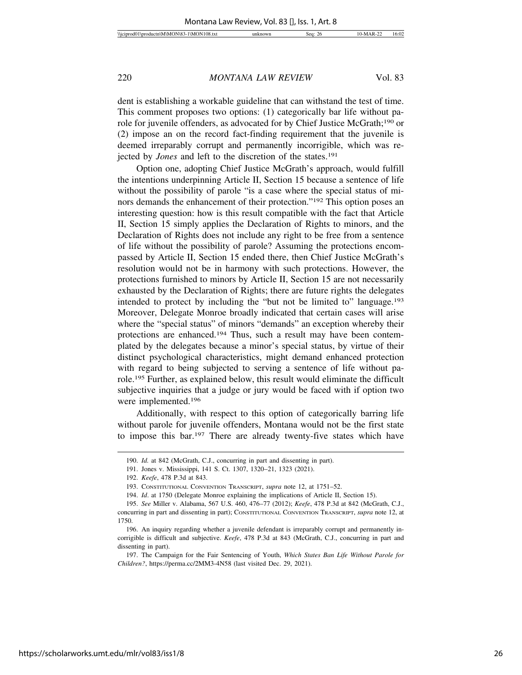dent is establishing a workable guideline that can withstand the test of time. This comment proposes two options: (1) categorically bar life without parole for juvenile offenders, as advocated for by Chief Justice McGrath;190 or (2) impose an on the record fact-finding requirement that the juvenile is deemed irreparably corrupt and permanently incorrigible, which was rejected by *Jones* and left to the discretion of the states.<sup>191</sup>

Option one, adopting Chief Justice McGrath's approach, would fulfill the intentions underpinning Article II, Section 15 because a sentence of life without the possibility of parole "is a case where the special status of minors demands the enhancement of their protection."192 This option poses an interesting question: how is this result compatible with the fact that Article II, Section 15 simply applies the Declaration of Rights to minors, and the Declaration of Rights does not include any right to be free from a sentence of life without the possibility of parole? Assuming the protections encompassed by Article II, Section 15 ended there, then Chief Justice McGrath's resolution would not be in harmony with such protections. However, the protections furnished to minors by Article II, Section 15 are not necessarily exhausted by the Declaration of Rights; there are future rights the delegates intended to protect by including the "but not be limited to" language.193 Moreover, Delegate Monroe broadly indicated that certain cases will arise where the "special status" of minors "demands" an exception whereby their protections are enhanced.194 Thus, such a result may have been contemplated by the delegates because a minor's special status, by virtue of their distinct psychological characteristics, might demand enhanced protection with regard to being subjected to serving a sentence of life without parole.195 Further, as explained below, this result would eliminate the difficult subjective inquiries that a judge or jury would be faced with if option two were implemented.196

Additionally, with respect to this option of categorically barring life without parole for juvenile offenders, Montana would not be the first state to impose this bar.197 There are already twenty-five states which have

<sup>190.</sup> *Id.* at 842 (McGrath, C.J., concurring in part and dissenting in part).

<sup>191.</sup> Jones v. Mississippi, 141 S. Ct. 1307, 1320–21, 1323 (2021).

<sup>192.</sup> *Keefe*, 478 P.3d at 843.

<sup>193.</sup> CONSTITUTIONAL CONVENTION TRANSCRIPT, *supra* note 12, at 1751–52.

<sup>194.</sup> *Id*. at 1750 (Delegate Monroe explaining the implications of Article II, Section 15).

<sup>195.</sup> *See* Miller v. Alabama, 567 U.S. 460, 476–77 (2012); *Keefe*, 478 P.3d at 842 (McGrath, C.J., concurring in part and dissenting in part); CONSTITUTIONAL CONVENTION TRANSCRIPT, *supra* note 12, at 1750.

<sup>196.</sup> An inquiry regarding whether a juvenile defendant is irreparably corrupt and permanently incorrigible is difficult and subjective. *Keefe*, 478 P.3d at 843 (McGrath, C.J., concurring in part and dissenting in part).

<sup>197.</sup> The Campaign for the Fair Sentencing of Youth, *Which States Ban Life Without Parole for Children?*, https://perma.cc/2MM3-4N58 (last visited Dec. 29, 2021).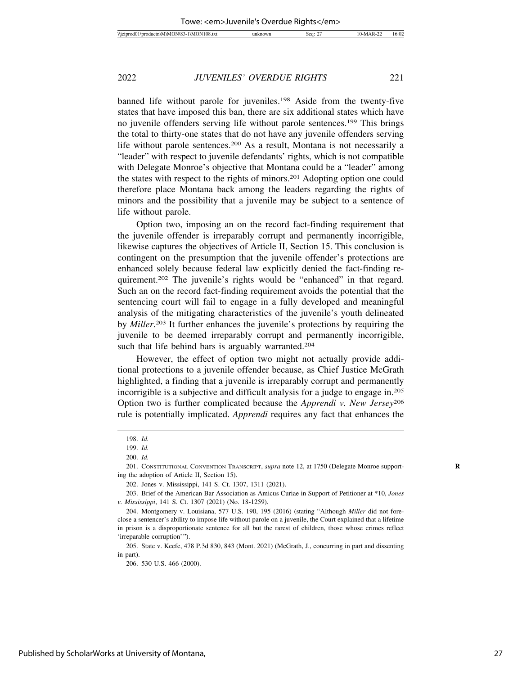banned life without parole for juveniles.198 Aside from the twenty-five states that have imposed this ban, there are six additional states which have no juvenile offenders serving life without parole sentences.199 This brings the total to thirty-one states that do not have any juvenile offenders serving life without parole sentences.200 As a result, Montana is not necessarily a "leader" with respect to juvenile defendants' rights, which is not compatible with Delegate Monroe's objective that Montana could be a "leader" among the states with respect to the rights of minors.201 Adopting option one could therefore place Montana back among the leaders regarding the rights of minors and the possibility that a juvenile may be subject to a sentence of life without parole.

Option two, imposing an on the record fact-finding requirement that the juvenile offender is irreparably corrupt and permanently incorrigible, likewise captures the objectives of Article II, Section 15. This conclusion is contingent on the presumption that the juvenile offender's protections are enhanced solely because federal law explicitly denied the fact-finding requirement.202 The juvenile's rights would be "enhanced" in that regard. Such an on the record fact-finding requirement avoids the potential that the sentencing court will fail to engage in a fully developed and meaningful analysis of the mitigating characteristics of the juvenile's youth delineated by *Miller*. 203 It further enhances the juvenile's protections by requiring the juvenile to be deemed irreparably corrupt and permanently incorrigible, such that life behind bars is arguably warranted.<sup>204</sup>

However, the effect of option two might not actually provide additional protections to a juvenile offender because, as Chief Justice McGrath highlighted, a finding that a juvenile is irreparably corrupt and permanently incorrigible is a subjective and difficult analysis for a judge to engage in.205 Option two is further complicated because the *Apprendi v. New Jersey*<sup>206</sup> rule is potentially implicated. *Apprendi* requires any fact that enhances the

<sup>198.</sup> *Id.*

<sup>199.</sup> *Id.*

<sup>200.</sup> *Id.*

<sup>201.</sup> CONSTITUTIONAL CONVENTION TRANSCRIPT, *supra* note 12, at 1750 (Delegate Monroe support- **R** ing the adoption of Article II, Section 15).

<sup>202.</sup> Jones v. Mississippi, 141 S. Ct. 1307, 1311 (2021).

<sup>203.</sup> Brief of the American Bar Association as Amicus Curiae in Support of Petitioner at \*10, *Jones v. Mississippi*, 141 S. Ct. 1307 (2021) (No. 18-1259).

<sup>204.</sup> Montgomery v. Louisiana, 577 U.S. 190, 195 (2016) (stating "Although *Miller* did not foreclose a sentencer's ability to impose life without parole on a juvenile, the Court explained that a lifetime in prison is a disproportionate sentence for all but the rarest of children, those whose crimes reflect 'irreparable corruption'").

<sup>205.</sup> State v. Keefe, 478 P.3d 830, 843 (Mont. 2021) (McGrath, J., concurring in part and dissenting in part).

<sup>206. 530</sup> U.S. 466 (2000).